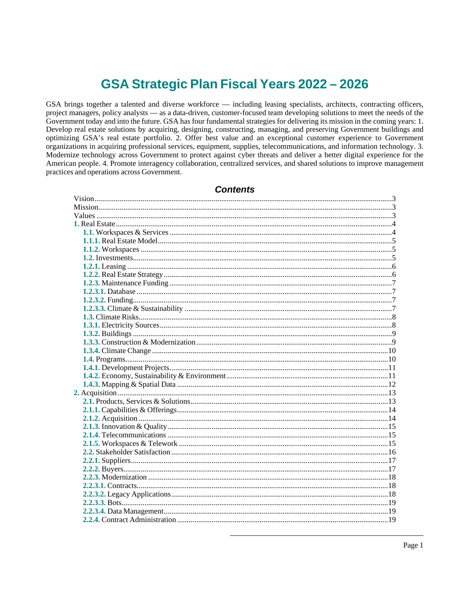# GSA Strategic Plan Fiscal Years 2022 - 2026

GSA brings together a talented and diverse workforce — including leasing specialists, architects, contracting officers, project managers, policy analysts — as a data-driven, customer-focused team developing solutions to meet the needs of the Government today and into the future. GSA has four fundamental strategies for delivering its mission in the coming years: 1. Develop real estate solutions by acquiring, designing, constructing, managing, and preserving Government buildings and optimizing GSA's real estate portfolio. 2. Offer best value and an exceptional customer experience to Government organizations in acquiring professional services, equipment, supplies, telecommunications, and information technology. 3. Modernize technology across Government to protect against cyber threats and deliver a better digital experience for the American people. 4. Promote interagency collaboration, centralized services, and shared solutions to improve management practices and operations across Government.

| <b>Contents</b> |  |
|-----------------|--|
|                 |  |
|                 |  |
|                 |  |
|                 |  |
|                 |  |
|                 |  |
|                 |  |
|                 |  |
|                 |  |
|                 |  |
|                 |  |
|                 |  |
|                 |  |
|                 |  |
|                 |  |
|                 |  |
|                 |  |
|                 |  |
|                 |  |
|                 |  |
|                 |  |
|                 |  |
|                 |  |
|                 |  |
|                 |  |
|                 |  |
|                 |  |
|                 |  |
|                 |  |
|                 |  |
|                 |  |
|                 |  |
|                 |  |
|                 |  |
|                 |  |
|                 |  |
|                 |  |
|                 |  |
|                 |  |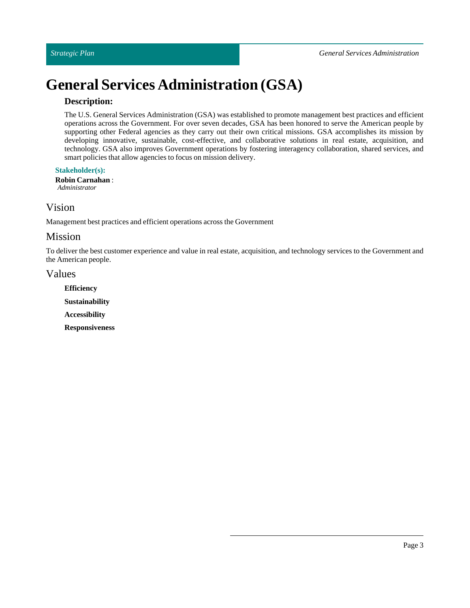# **General Services Administration (GSA)**

### **Description:**

The U.S. General Services Administration (GSA) was established to promote management best practices and efficient operations across the Government. For over seven decades, GSA has been honored to serve the American people by supporting other Federal agencies as they carry out their own critical missions. GSA accomplishes its mission by developing innovative, sustainable, cost-effective, and collaborative solutions in real estate, acquisition, and technology. GSA also improves Government operations by fostering interagency collaboration, shared services, and smart policies that allow agencies to focus on mission delivery.

**Stakeholder(s):**

**Robin Carnahan**: *Administrator*

## <span id="page-2-0"></span>Vision

Management best practices and efficient operations across the Government

### <span id="page-2-1"></span>Mission

To deliver the best customer experience and value in real estate, acquisition, and technology services to the Government and the American people.

### <span id="page-2-2"></span>Values

**Efficiency Sustainability Accessibility Responsiveness**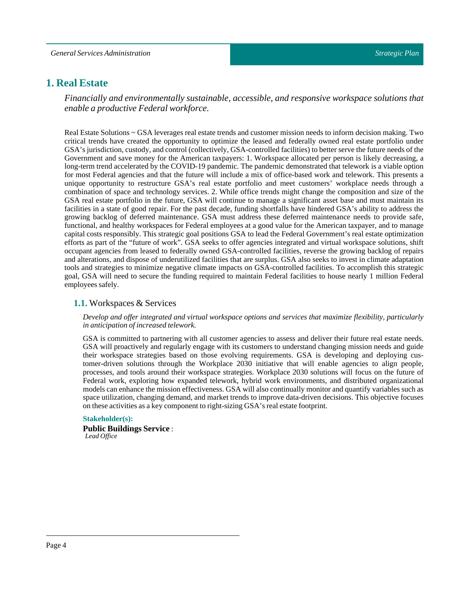### <span id="page-3-0"></span>**1. Real Estate**

*Financially and environmentally sustainable, accessible, and responsive workspace solutions that enable a productive Federal workforce.*

Real Estate Solutions ~ GSA leverages real estate trends and customer mission needs to inform decision making. Two critical trends have created the opportunity to optimize the leased and federally owned real estate portfolio under GSA's jurisdiction, custody, and control (collectively, GSA-controlled facilities) to better serve the future needs of the Government and save money for the American taxpayers: 1. Workspace allocated per person is likely decreasing, a long-term trend accelerated by the COVID-19 pandemic. The pandemic demonstrated that telework is a viable option for most Federal agencies and that the future will include a mix of office-based work and telework. This presents a unique opportunity to restructure GSA's real estate portfolio and meet customers' workplace needs through a combination of space and technology services. 2. While office trends might change the composition and size of the GSA real estate portfolio in the future, GSA will continue to manage a significant asset base and must maintain its facilities in a state of good repair. For the past decade, funding shortfalls have hindered GSA's ability to address the growing backlog of deferred maintenance. GSA must address these deferred maintenance needs to provide safe, functional, and healthy workspaces for Federal employees at a good value for the American taxpayer, and to manage capital costs responsibly. This strategic goal positions GSA to lead the Federal Government's real estate optimization efforts as part of the "future of work". GSA seeks to offer agencies integrated and virtual workspace solutions, shift occupant agencies from leased to federally owned GSA-controlled facilities, reverse the growing backlog of repairs and alterations, and dispose of underutilized facilities that are surplus. GSA also seeks to invest in climate adaptation tools and strategies to minimize negative climate impacts on GSA-controlled facilities. To accomplish this strategic goal, GSA will need to secure the funding required to maintain Federal facilities to house nearly 1 million Federal employees safely.

#### <span id="page-3-1"></span>**1.1.** Workspaces & Services

#### *Develop and offer integrated and virtual workspace options and services that maximize flexibility, particularly in anticipation ofincreased telework.*

GSA is committed to partnering with all customer agencies to assess and deliver their future real estate needs. GSA will proactively and regularly engage with its customers to understand changing mission needs and guide their workspace strategies based on those evolving requirements. GSA is developing and deploying customer-driven solutions through the Workplace 2030 initiative that will enable agencies to align people, processes, and tools around their workspace strategies. Workplace 2030 solutions will focus on the future of Federal work, exploring how expanded telework, hybrid work environments, and distributed organizational models can enhance the mission effectiveness. GSA will also continually monitor and quantify variables such as space utilization, changing demand, and market trends to improve data-driven decisions. This objective focuses on these activities as a key component to right-sizing GSA's real estate footprint.

#### **Stakeholder(s):**

**Public Buildings Service** : *Lead Office*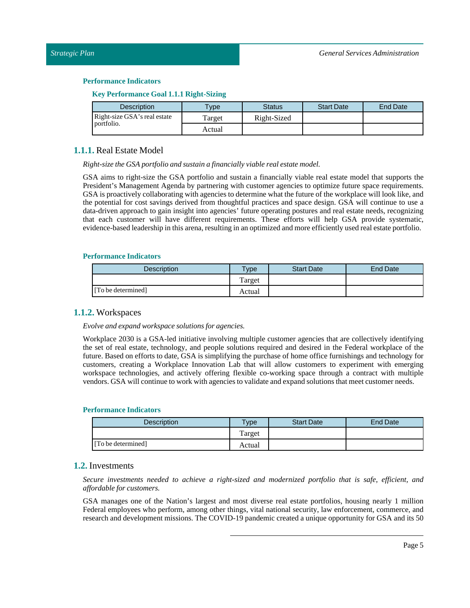| <b>Key Performance Goal 1.1.1 Right-Sizing</b> |  |  |
|------------------------------------------------|--|--|
|                                                |  |  |

| <b>Description</b>                         | <b>Type</b> | <b>Status</b> | <b>Start Date</b> | <b>End Date</b> |
|--------------------------------------------|-------------|---------------|-------------------|-----------------|
| Right-size GSA's real estate<br>portfolio. | Target      | Right-Sized   |                   |                 |
|                                            | Actual      |               |                   |                 |

#### <span id="page-4-0"></span>**1.1.1.** Real Estate Model

*Right-size the GSA portfolio and sustain a financially viable real estate model.*

GSA aims to right-size the GSA portfolio and sustain a financially viable real estate model that supports the President's Management Agenda by partnering with customer agencies to optimize future space requirements. GSA is proactively collaborating with agencies to determine what the future of the workplace will look like, and the potential for cost savings derived from thoughtful practices and space design. GSA will continue to use a data-driven approach to gain insight into agencies' future operating postures and real estate needs, recognizing that each customer will have different requirements. These efforts will help GSA provide systematic, evidence-based leadership in this arena, resulting in an optimized and more efficiently used real estate portfolio.

#### **Performance Indicators**

| <b>Description</b> | $v_{\rm p}$ | <b>Start Date</b> | <b>End Date</b> |
|--------------------|-------------|-------------------|-----------------|
|                    | Target      |                   |                 |
| [To be determined] | Actual      |                   |                 |

#### <span id="page-4-1"></span>**1.1.2.** Workspaces

*Evolve and expand workspace solutions for agencies.*

Workplace 2030 is a GSA-led initiative involving multiple customer agencies that are collectively identifying the set of real estate, technology, and people solutions required and desired in the Federal workplace of the future. Based on efforts to date, GSA is simplifying the purchase of home office furnishings and technology for customers, creating a Workplace Innovation Lab that will allow customers to experiment with emerging workspace technologies, and actively offering flexible co-working space through a contract with multiple vendors. GSA will continue to work with agencies to validate and expand solutions that meet customer needs.

#### **Performance Indicators**

| <b>Description</b> | <b>Type</b> | <b>Start Date</b> | End Date |
|--------------------|-------------|-------------------|----------|
|                    | Target      |                   |          |
| [To be determined] | Actual      |                   |          |

#### <span id="page-4-2"></span>**1.2.** Investments

*Secure investments needed to achieve a right-sized and modernized portfolio that is safe, efficient, and affordable for customers.*

GSA manages one of the Nation's largest and most diverse real estate portfolios, housing nearly 1 million Federal employees who perform, among other things, vital national security, law enforcement, commerce, and research and development missions. The COVID-19 pandemic created a unique opportunity for GSA and its 50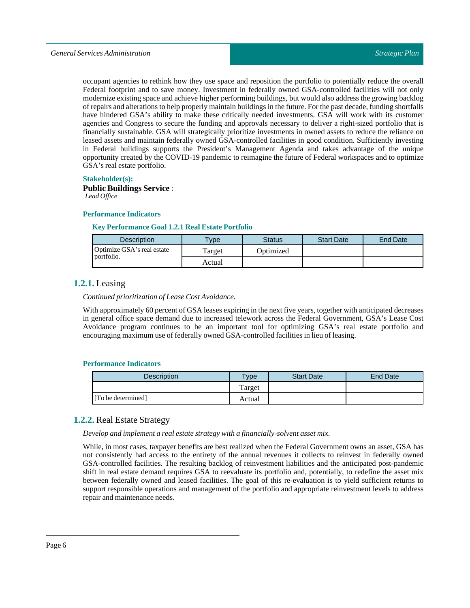occupant agencies to rethink how they use space and reposition the portfolio to potentially reduce the overall Federal footprint and to save money. Investment in federally owned GSA-controlled facilities will not only modernize existing space and achieve higher performing buildings, but would also address the growing backlog of repairs and alterations to help properly maintain buildings in the future.For the past decade, funding shortfalls have hindered GSA's ability to make these critically needed investments. GSA will work with its customer agencies and Congress to secure the funding and approvals necessary to deliver a right-sized portfolio that is financially sustainable. GSA will strategically prioritize investments in owned assets to reduce the reliance on leased assets and maintain federally owned GSA-controlled facilities in good condition. Sufficiently investing in Federal buildings supports the President's Management Agenda and takes advantage of the unique opportunity created by the COVID-19 pandemic to reimagine the future of Federal workspaces and to optimize GSA's real estate portfolio.

#### **Stakeholder(s):**

#### **Public Buildings Service** : *Lead Office*

#### **Performance Indicators**

#### **Key Performance Goal 1.2.1 Real Estate Portfolio**

| <b>Description</b>                | <b>Type</b> | Status    | <b>Start Date</b> | <b>End Date</b> |
|-----------------------------------|-------------|-----------|-------------------|-----------------|
| <b>Optimize GSA's real estate</b> | l'arget     | Ontimized |                   |                 |
| portfolio.                        | Actual      |           |                   |                 |

### <span id="page-5-0"></span>**1.2.1.** Leasing

#### *Continued prioritization ofLease Cost Avoidance.*

With approximately 60 percent of GSA leases expiring in the next five years, together with anticipated decreases in general office space demand due to increased telework across the Federal Government, GSA's Lease Cost Avoidance program continues to be an important tool for optimizing GSA's real estate portfolio and encouraging maximum use of federally owned GSA-controlled facilities in lieu of leasing.

#### **Performance Indicators**

| <b>Description</b> | Type   | <b>Start Date</b> | End Date |
|--------------------|--------|-------------------|----------|
|                    | Target |                   |          |
| [To be determined] | Actual |                   |          |

### <span id="page-5-1"></span>**1.2.2.** Real Estate Strategy

#### *Develop and implement a real estate strategy with a financially-solvent asset mix.*

While, in most cases, taxpayer benefits are best realized when the Federal Government owns an asset, GSA has not consistently had access to the entirety of the annual revenues it collects to reinvest in federally owned GSA-controlled facilities. The resulting backlog of reinvestment liabilities and the anticipated post-pandemic shift in real estate demand requires GSA to reevaluate its portfolio and, potentially, to redefine the asset mix between federally owned and leased facilities. The goal of this re-evaluation is to yield sufficient returns to support responsible operations and management of the portfolio and appropriate reinvestment levels to address repair and maintenance needs.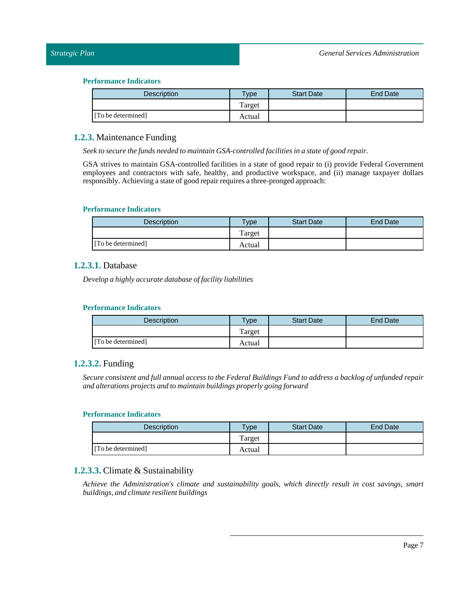| Description        | $T$ ype | <b>Start Date</b> | <b>End Date</b> |
|--------------------|---------|-------------------|-----------------|
|                    | Target  |                   |                 |
| [To be determined] | Actual  |                   |                 |

### <span id="page-6-0"></span>**1.2.3.** Maintenance Funding

*Seek to secure the funds needed to maintain GSA-controlled facilities in a state of good repair.*

GSA strives to maintain GSA-controlled facilities in a state of good repair to (i) provide Federal Government employees and contractors with safe, healthy, and productive workspace, and (ii) manage taxpayer dollars responsibly. Achieving a state of good repair requires a three-pronged approach:

### **Performance Indicators**

| <b>Description</b> | $T$ <sub>ype</sub> | <b>Start Date</b> | End Date |
|--------------------|--------------------|-------------------|----------|
|                    | Target             |                   |          |
| [To be determined] | Actual             |                   |          |

### <span id="page-6-1"></span>**1.2.3.1.** Database

*Develop a highly accurate database offacility liabilities*

#### **Performance Indicators**

| <b>Description</b> | <b>Type</b> | <b>Start Date</b> | <b>End Date</b> |
|--------------------|-------------|-------------------|-----------------|
|                    | Target      |                   |                 |
| [To be determined] | Actual      |                   |                 |

### <span id="page-6-2"></span>**1.2.3.2.** Funding

Secure consistent and full annual access to the Federal Buildings Fund to address a backlog of unfunded repair *and alterations projects and to maintain buildings properly going forward*

#### **Performance Indicators**

| <b>Description</b> | <b>Type</b> | <b>Start Date</b> | End Date |
|--------------------|-------------|-------------------|----------|
|                    | Target      |                   |          |
| [To be determined] | Actual      |                   |          |

### <span id="page-6-3"></span>**1.2.3.3.** Climate & Sustainability

*Achieve the Administration's climate and sustainability goals, which directly result in cost savings, smart buildings, and climate resilient buildings*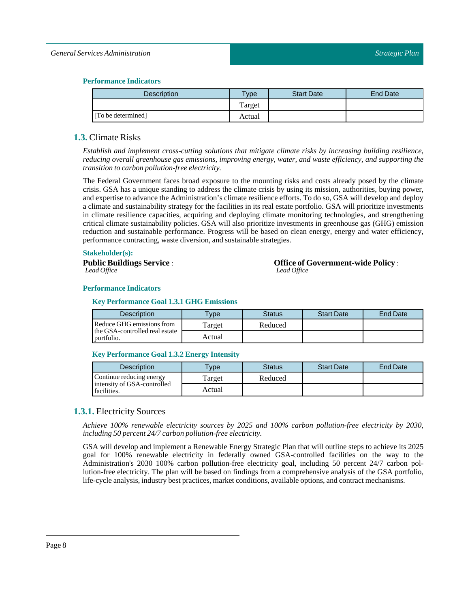#### *General Services Administration*

#### **Performance Indicators**

| <b>Description</b> | vpe    | <b>Start Date</b> | End Date |
|--------------------|--------|-------------------|----------|
|                    | Target |                   |          |
| [To be determined] | Actual |                   |          |

### <span id="page-7-0"></span>**1.3.** Climate Risks

*Establish and implement cross-cutting solutions that mitigate climate risks by increasing building resilience, reducing overall greenhouse gas emissions, improving energy, water, and waste efficiency, and supporting the transition to carbon pollution-free electricity.*

The Federal Government faces broad exposure to the mounting risks and costs already posed by the climate crisis. GSA has a unique standing to address the climate crisis by using its mission, authorities, buying power, and expertise to advance the Administration's climate resilience efforts. To do so, GSA will develop and deploy a climate and sustainability strategy for the facilities in its real estate portfolio. GSA will prioritize investments in climate resilience capacities, acquiring and deploying climate monitoring technologies, and strengthening critical climate sustainability policies. GSA will also prioritize investments in greenhouse gas (GHG) emission reduction and sustainable performance. Progress will be based on clean energy, energy and water efficiency, performance contracting, waste diversion, and sustainable strategies.

#### **Stakeholder(s):**

**Public Buildings Service** : *Lead Office*

**Office of Government-wide Policy** : *Lead Office*

#### **Performance Indicators**

#### **Key Performance Goal 1.3.1 GHG Emissions**

| <b>Description</b>                           | <b>Type</b> | <b>Status</b> | <b>Start Date</b> | End Date |
|----------------------------------------------|-------------|---------------|-------------------|----------|
| Reduce GHG emissions from                    | l'arget     | Reduced       |                   |          |
| the GSA-controlled real estate<br>portfolio. | Actual      |               |                   |          |

#### **Key Performance Goal 1.3.2 Energy Intensity**

| Description                                | <b>VDe</b> | Status  | <b>Start Date</b> | <b>End Date</b> |
|--------------------------------------------|------------|---------|-------------------|-----------------|
| Continue reducing energy                   | Target     | Reduced |                   |                 |
| intensity of GSA-controlled<br>facilities. | Actual     |         |                   |                 |

### <span id="page-7-1"></span>**1.3.1.** Electricity Sources

*Achieve 100% renewable electricity sources by 2025 and 100% carbon pollution-free electricity by 2030, including 50 percent 24/7 carbon pollution-free electricity.*

GSA will develop and implement a Renewable Energy Strategic Plan that will outline steps to achieve its 2025 goal for 100% renewable electricity in federally owned GSA-controlled facilities on the way to the Administration's 2030 100% carbon pollution-free electricity goal, including 50 percent 24/7 carbon pollution-free electricity. The plan will be based on findings from a comprehensive analysis of the GSA portfolio, life-cycle analysis, industry best practices, market conditions, available options, and contract mechanisms.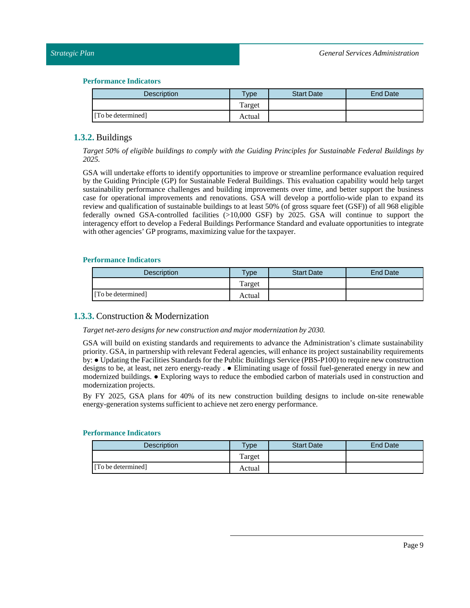| <b>Description</b> | Type   | <b>Start Date</b> | <b>End Date</b> |
|--------------------|--------|-------------------|-----------------|
|                    | Target |                   |                 |
| [To be determined] | Actual |                   |                 |

### <span id="page-8-0"></span>**1.3.2.** Buildings

*Target 50% of eligible buildings to comply with the Guiding Principles for Sustainable Federal Buildings by 2025.*

GSA will undertake efforts to identify opportunities to improve or streamline performance evaluation required by the Guiding Principle (GP) for Sustainable Federal Buildings. This evaluation capability would help target sustainability performance challenges and building improvements over time, and better support the business case for operational improvements and renovations. GSA will develop a portfolio-wide plan to expand its review and qualification of sustainable buildings to at least 50% (of gross square feet (GSF)) of all 968 eligible federally owned GSA-controlled facilities (>10,000 GSF) by 2025. GSA will continue to support the interagency effort to develop a Federal Buildings Performance Standard and evaluate opportunities to integrate with other agencies' GP programs, maximizing value for the taxpayer.

#### **Performance Indicators**

| <b>Description</b> | $T$ <sub>V</sub> $pe$ | <b>Start Date</b> | <b>End Date</b> |
|--------------------|-----------------------|-------------------|-----------------|
|                    | Target                |                   |                 |
| [To be determined] | Actual                |                   |                 |

### <span id="page-8-1"></span>**1.3.3.** Construction & Modernization

#### *Target net-zero designs for new construction and major modernization by 2030.*

GSA will build on existing standards and requirements to advance the Administration's climate sustainability priority. GSA, in partnership with relevant Federal agencies, will enhance its project sustainability requirements by: ● Updating the Facilities Standards for the Public Buildings Service (PBS-P100) to require new construction designs to be, at least, net zero energy-ready . ● Eliminating usage of fossil fuel-generated energy in new and modernized buildings. ● Exploring ways to reduce the embodied carbon of materials used in construction and modernization projects.

By FY 2025, GSA plans for 40% of its new construction building designs to include on-site renewable energy-generation systems sufficient to achieve net zero energy performance.

| <b>Description</b> | $T$ <sub>ype</sub> | <b>Start Date</b> | <b>End Date</b> |
|--------------------|--------------------|-------------------|-----------------|
|                    | Target             |                   |                 |
| [To be determined] | Actual             |                   |                 |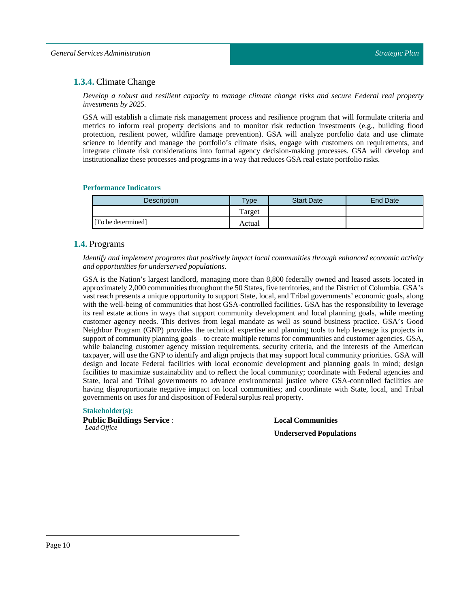### <span id="page-9-0"></span>**1.3.4.** Climate Change

*Develop a robust and resilient capacity to manage climate change risks and secure Federal real property investments by 2025.*

GSA will establish a climate risk management process and resilience program that will formulate criteria and metrics to inform real property decisions and to monitor risk reduction investments (e.g., building flood protection, resilient power, wildfire damage prevention). GSA will analyze portfolio data and use climate science to identify and manage the portfolio's climate risks, engage with customers on requirements, and integrate climate risk considerations into formal agency decision-making processes. GSA will develop and institutionalize these processes and programs in a way that reduces GSA real estate portfolio risks.

#### **Performance Indicators**

| Description        | <b>Type</b> | <b>Start Date</b> | <b>End Date</b> |
|--------------------|-------------|-------------------|-----------------|
|                    | Target      |                   |                 |
| [To be determined] | Actual      |                   |                 |

### <span id="page-9-1"></span>**1.4.** Programs

*Identify and implement programs that positively impact local communities through enhanced economic activity and opportunities for underserved populations.*

GSA is the Nation's largest landlord, managing more than 8,800 federally owned and leased assets located in approximately 2,000 communities throughout the 50 States, five territories, and the District of Columbia. GSA's vast reach presents a unique opportunity to support State, local, and Tribal governments' economic goals, along with the well-being of communities that host GSA-controlled facilities. GSA has the responsibility to leverage its real estate actions in ways that support community development and local planning goals, while meeting customer agency needs. This derives from legal mandate as well as sound business practice. GSA's Good Neighbor Program (GNP) provides the technical expertise and planning tools to help leverage its projects in support of community planning goals – to create multiple returns for communities and customer agencies. GSA, while balancing customer agency mission requirements, security criteria, and the interests of the American taxpayer, will use the GNP to identify and align projects that may support local community priorities. GSA will design and locate Federal facilities with local economic development and planning goals in mind; design facilities to maximize sustainability and to reflect the local community; coordinate with Federal agencies and State, local and Tribal governments to advance environmental justice where GSA-controlled facilities are having disproportionate negative impact on local communities; and coordinate with State, local, and Tribal governments on uses for and disposition of Federal surplus real property.

#### **Stakeholder(s):**

**Public Buildings Service** : *Lead Office*

**Local Communities Underserved Populations**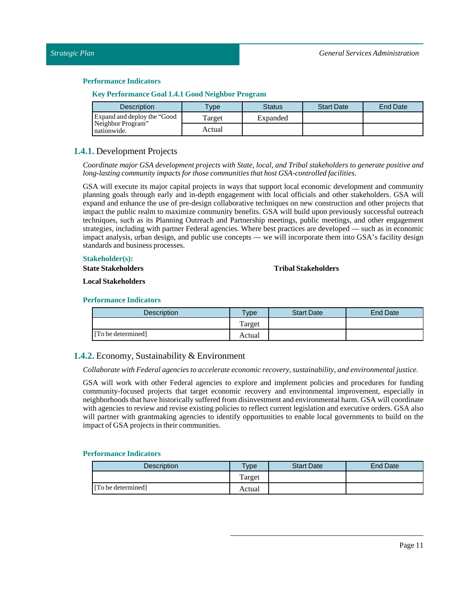| Key Performance Goal 1.4.1 Good Neighbor Program |  |  |
|--------------------------------------------------|--|--|
|                                                  |  |  |

| <b>Description</b>               | <b>Type</b> | <b>Status</b> | <b>Start Date</b> | End Date |
|----------------------------------|-------------|---------------|-------------------|----------|
| Expand and deploy the "Good"     | Target      | Expanded      |                   |          |
| Neighbor Program"<br>nationwide. | Actual      |               |                   |          |

### <span id="page-10-0"></span>**1.4.1.** Development Projects

*Coordinate major GSA development projects with State, local, and Tribal stakeholders to generate positive and long-lasting community impacts for those communities that host GSA-controlled facilities.*

GSA will execute its major capital projects in ways that support local economic development and community planning goals through early and in-depth engagement with local officials and other stakeholders. GSA will expand and enhance the use of pre-design collaborative techniques on new construction and other projects that impact the public realm to maximize community benefits. GSA will build upon previously successful outreach techniques, such as its Planning Outreach and Partnership meetings, public meetings, and other engagement strategies, including with partner Federal agencies. Where best practices are developed — such as in economic impact analysis, urban design, and public use concepts — we will incorporate them into GSA's facility design standards and business processes.

#### **Stakeholder(s):**

**StateStakeholders**

### **TribalStakeholders**

**LocalStakeholders**

#### **Performance Indicators**

| Description        | $T$ vpe | <b>Start Date</b> | End Date |
|--------------------|---------|-------------------|----------|
|                    | Target  |                   |          |
| [To be determined] | Actual  |                   |          |

### <span id="page-10-1"></span>**1.4.2.** Economy, Sustainability & Environment

#### *Collaborate with Federal agencies to accelerate economic recovery, sustainability, and environmentaljustice.*

GSA will work with other Federal agencies to explore and implement policies and procedures for funding community-focused projects that target economic recovery and environmental improvement, especially in neighborhoods that have historically suffered from disinvestment and environmental harm. GSA will coordinate with agencies to review and revise existing policies to reflect current legislation and executive orders. GSA also will partner with grantmaking agencies to identify opportunities to enable local governments to build on the impact of GSA projects in their communities.

| <b>Description</b> | $TV$ pe | <b>Start Date</b> | <b>End Date</b> |
|--------------------|---------|-------------------|-----------------|
|                    | Target  |                   |                 |
| [To be determined] | Actual  |                   |                 |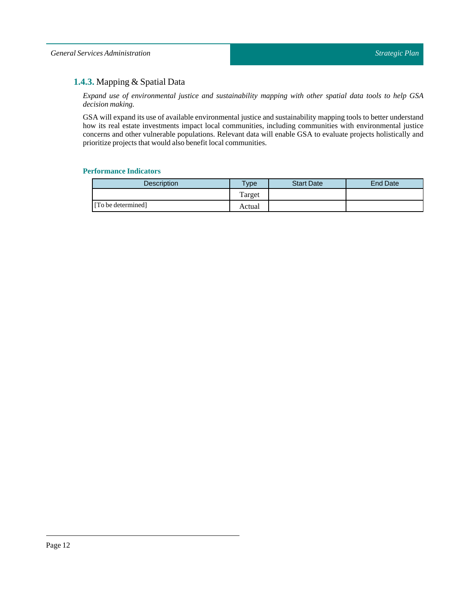### <span id="page-11-0"></span>**1.4.3.** Mapping & Spatial Data

*Expand use of environmental justice and sustainability mapping with other spatial data tools to help GSA decision making.*

GSA will expand its use of available environmental justice and sustainability mapping tools to better understand how its real estate investments impact local communities, including communities with environmental justice concerns and other vulnerable populations. Relevant data will enable GSA to evaluate projects holistically and prioritize projects that would also benefit local communities.

| <b>Description</b> | Type    | <b>Start Date</b> | End Date |
|--------------------|---------|-------------------|----------|
|                    | l'arget |                   |          |
| [To be determined] | Actual  |                   |          |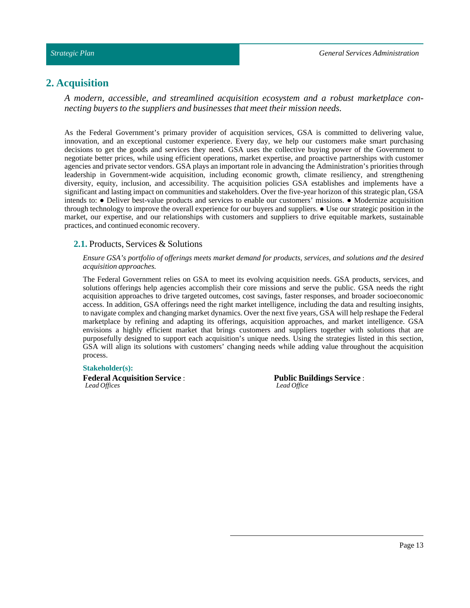#### *Strategic Plan*

### <span id="page-12-0"></span>**2. Acquisition**

*A modern, accessible, and streamlined acquisition ecosystem and a robust marketplace connecting buyers to the suppliers and businesses that meet their mission needs.*

As the Federal Government's primary provider of acquisition services, GSA is committed to delivering value, innovation, and an exceptional customer experience. Every day, we help our customers make smart purchasing decisions to get the goods and services they need. GSA uses the collective buying power of the Government to negotiate better prices, while using efficient operations, market expertise, and proactive partnerships with customer agencies and private sector vendors. GSA plays an important role in advancing the Administration's priorities through leadership in Government-wide acquisition, including economic growth, climate resiliency, and strengthening diversity, equity, inclusion, and accessibility. The acquisition policies GSA establishes and implements have a significant and lasting impact on communities and stakeholders. Over the five-year horizon of this strategic plan, GSA intends to: ● Deliver best-value products and services to enable our customers' missions. ● Modernize acquisition through technology to improve the overall experience for our buyers and suppliers. ● Use our strategic position in the market, our expertise, and our relationships with customers and suppliers to drive equitable markets, sustainable practices, and continued economic recovery.

#### <span id="page-12-1"></span>**2.1.** Products, Services & Solutions

*Ensure GSA's portfolio of offerings meets market demand for products, services, and solutions and the desired acquisition approaches.*

The Federal Government relies on GSA to meet its evolving acquisition needs. GSA products, services, and solutions offerings help agencies accomplish their core missions and serve the public. GSA needs the right acquisition approaches to drive targeted outcomes, cost savings, faster responses, and broader socioeconomic access. In addition, GSA offerings need the right market intelligence, including the data and resulting insights, to navigate complex and changing market dynamics. Over the next five years, GSA will help reshape the Federal marketplace by refining and adapting its offerings, acquisition approaches, and market intelligence. GSA envisions a highly efficient market that brings customers and suppliers together with solutions that are purposefully designed to support each acquisition's unique needs. Using the strategies listed in this section, GSA will align its solutions with customers' changing needs while adding value throughout the acquisition process.

#### **Stakeholder(s):**

**Federal Acquisition Service** : *Lead Offices*

**Public Buildings Service** : *Lead Office*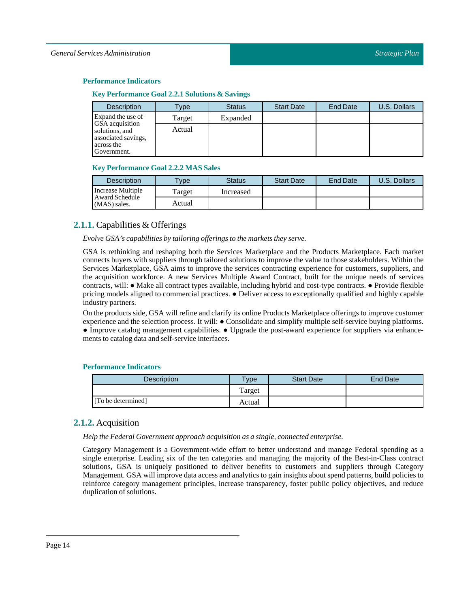#### **Key Performance Goal 2.2.1Solutions & Savings**

| <b>Description</b>                                                                    | Type   | <b>Status</b> | <b>Start Date</b> | <b>End Date</b> | U.S. Dollars |
|---------------------------------------------------------------------------------------|--------|---------------|-------------------|-----------------|--------------|
| Expand the use of                                                                     | Target | Expanded      |                   |                 |              |
| GSA acquisition<br>solutions, and<br>associated savings,<br>across the<br>Government. | Actual |               |                   |                 |              |

#### **Key Performance Goal 2.2.2 MASSales**

| <b>Description</b>             | <b>Type</b> | Status    | <b>Start Date</b> | End Date | U.S. Dollars |
|--------------------------------|-------------|-----------|-------------------|----------|--------------|
| Increase Multiple              | Target      | Increased |                   |          |              |
| Award Schedule<br>(MAS) sales. | Actual      |           |                   |          |              |

### <span id="page-13-0"></span>**2.1.1.** Capabilities & Offerings

#### *Evolve GSA's capabilities by tailoring offerings to the markets they serve.*

GSA is rethinking and reshaping both the Services Marketplace and the Products Marketplace. Each market connects buyers with suppliers through tailored solutions to improve the value to those stakeholders. Within the Services Marketplace, GSA aims to improve the services contracting experience for customers, suppliers, and the acquisition workforce. A new Services Multiple Award Contract, built for the unique needs of services contracts, will: ● Make all contract types available, including hybrid and cost-type contracts. ● Provide flexible pricing models aligned to commercial practices. ● Deliver access to exceptionally qualified and highly capable industry partners.

On the products side, GSA will refine and clarify its online Products Marketplace offerings to improve customer experience and the selection process. It will: ● Consolidate and simplify multiple self-service buying platforms. ● Improve catalog management capabilities. ● Upgrade the post-award experience for suppliers via enhancements to catalog data and self-service interfaces.

#### **Performance Indicators**

| Description        | Type <sub>o</sub> | <b>Start Date</b> | <b>End Date</b> |
|--------------------|-------------------|-------------------|-----------------|
|                    | Target            |                   |                 |
| [To be determined] | Actual            |                   |                 |

### <span id="page-13-1"></span>**2.1.2.** Acquisition

*Help the Federal Government approach acquisition as a single, connected enterprise.*

Category Management is a Government-wide effort to better understand and manage Federal spending as a single enterprise. Leading six of the ten categories and managing the majority of the Best-in-Class contract solutions, GSA is uniquely positioned to deliver benefits to customers and suppliers through Category Management. GSA willimprove data access and analytics to gain insights about spend patterns, build policies to reinforce category management principles, increase transparency, foster public policy objectives, and reduce duplication of solutions.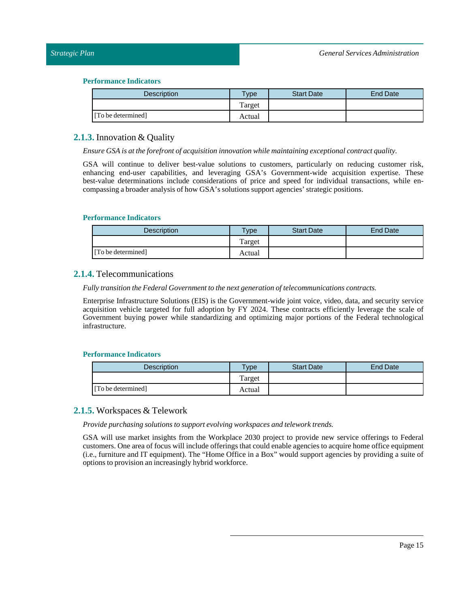| Description        | vpe    | <b>Start Date</b> | <b>End Date</b> |
|--------------------|--------|-------------------|-----------------|
|                    | Target |                   |                 |
| [To be determined] | Actual |                   |                 |

### <span id="page-14-0"></span>**2.1.3.** Innovation & Quality

*Ensure GSA is atthe forefront of acquisition innovation while maintaining exceptional contract quality.*

GSA will continue to deliver best-value solutions to customers, particularly on reducing customer risk, enhancing end-user capabilities, and leveraging GSA's Government-wide acquisition expertise. These best-value determinations include considerations of price and speed for individual transactions, while encompassing a broader analysis of how GSA's solutions support agencies' strategic positions.

#### **Performance Indicators**

| Description        | $T$ <sub>ype</sub> | <b>Start Date</b> | <b>End Date</b> |
|--------------------|--------------------|-------------------|-----------------|
|                    | Target             |                   |                 |
| [To be determined] | Actual             |                   |                 |

### <span id="page-14-1"></span>**2.1.4.** Telecommunications

*Fully transition the Federal Governmentto the next generation oftelecommunications contracts.*

Enterprise Infrastructure Solutions (EIS) is the Government-wide joint voice, video, data, and security service acquisition vehicle targeted for full adoption by FY 2024. These contracts efficiently leverage the scale of Government buying power while standardizing and optimizing major portions of the Federal technological infrastructure.

#### **Performance Indicators**

| <b>Description</b> | <b>Type</b> | <b>Start Date</b> | End Date |
|--------------------|-------------|-------------------|----------|
|                    | Target      |                   |          |
| [To be determined] | Actual      |                   |          |

### <span id="page-14-2"></span>**2.1.5.** Workspaces & Telework

*Provide purchasing solutions to support evolving workspaces and telework trends.*

GSA will use market insights from the Workplace 2030 project to provide new service offerings to Federal customers. One area of focus will include offerings that could enable agencies to acquire home office equipment (i.e., furniture and IT equipment). The "Home Office in a Box" would support agencies by providing a suite of options to provision an increasingly hybrid workforce.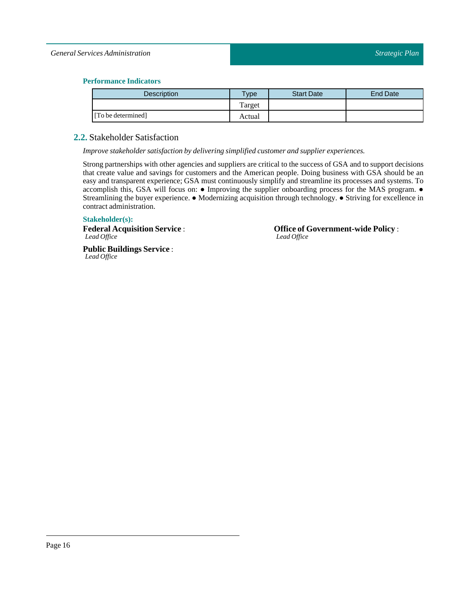#### *General Services Administration*

#### **Performance Indicators**

| <b>Description</b> | $T$ ype | <b>Start Date</b> | End Date |
|--------------------|---------|-------------------|----------|
|                    | Target  |                   |          |
| [To be determined] | Actual  |                   |          |

### <span id="page-15-0"></span>**2.2.** Stakeholder Satisfaction

*Improve stakeholder satisfaction by delivering simplified customer and supplier experiences.*

Strong partnerships with other agencies and suppliers are critical to the success of GSA and to support decisions that create value and savings for customers and the American people. Doing business with GSA should be an easy and transparent experience; GSA must continuously simplify and streamline its processes and systems. To accomplish this, GSA will focus on: ● Improving the supplier onboarding process for the MAS program. ● Streamlining the buyer experience. ● Modernizing acquisition through technology. ● Striving for excellence in contract administration.

#### **Stakeholder(s):**

**Federal Acquisition Service** : *Lead Office*

**Public Buildings Service** : *Lead Office*

**Office of Government-wide Policy** : *Lead Office*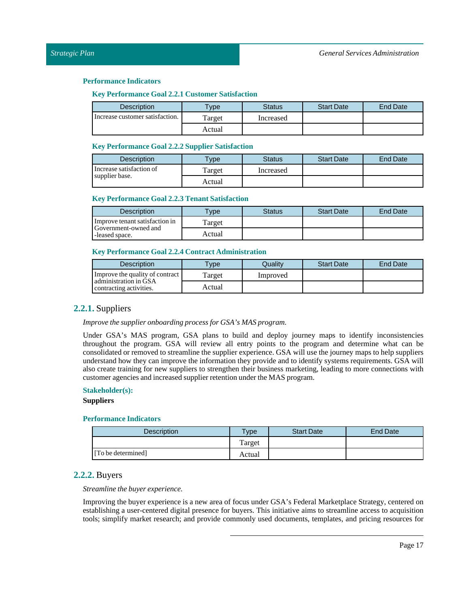#### **Key Performance Goal 2.2.1 Customer Satisfaction**

| <b>Description</b>              | $T$ <sub>V</sub> $pe$ | Status    | <b>Start Date</b> | End Date |
|---------------------------------|-----------------------|-----------|-------------------|----------|
| Increase customer satisfaction. | Target                | Increased |                   |          |
|                                 | Actual                |           |                   |          |

#### **Key Performance Goal 2.2.2 Supplier Satisfaction**

| Description              | $T$ <sub>V</sub> $pe$ | Status    | <b>Start Date</b> | <b>End Date</b> |
|--------------------------|-----------------------|-----------|-------------------|-----------------|
| Increase satisfaction of | l'arget               | Increased |                   |                 |
| supplier base.           | Actual                |           |                   |                 |

#### **Key Performance Goal 2.2.3 Tenant Satisfaction**

| Description                            | $T$ vpe | Status | <b>Start Date</b> | End Date |
|----------------------------------------|---------|--------|-------------------|----------|
| Improve tenant satisfaction in         | Target  |        |                   |          |
| Government-owned and<br>-leased space. | Actual  |        |                   |          |

#### **Key Performance Goal 2.2.4 Contract Administration**

| <b>Description</b>                               | <b>Vpe</b> | Qualitv  | <b>Start Date</b> | End Date |
|--------------------------------------------------|------------|----------|-------------------|----------|
| Improve the quality of contract                  | l'arget    | Improved |                   |          |
| administration in GSA<br>contracting activities. | Actual     |          |                   |          |

### <span id="page-16-0"></span>**2.2.1.** Suppliers

*Improve the supplier onboarding process for GSA's MAS program.*

Under GSA's MAS program, GSA plans to build and deploy journey maps to identify inconsistencies throughout the program. GSA will review all entry points to the program and determine what can be consolidated or removed to streamline the supplier experience. GSA will use the journey maps to help suppliers understand how they can improve the information they provide and to identify systems requirements. GSA will also create training for new suppliers to strengthen their business marketing, leading to more connections with customer agencies and increased supplier retention under the MAS program.

#### **Stakeholder(s):**

#### **Suppliers**

#### **Performance Indicators**

| Description        | $T$ ype | <b>Start Date</b> | End Date |
|--------------------|---------|-------------------|----------|
|                    | Target  |                   |          |
| [To be determined] | Actual  |                   |          |

### <span id="page-16-1"></span>**2.2.2.** Buyers

*Streamline the buyer experience.*

Improving the buyer experience is a new area of focus under GSA's Federal Marketplace Strategy, centered on establishing a user-centered digital presence for buyers. This initiative aims to streamline access to acquisition tools; simplify market research; and provide commonly used documents, templates, and pricing resources for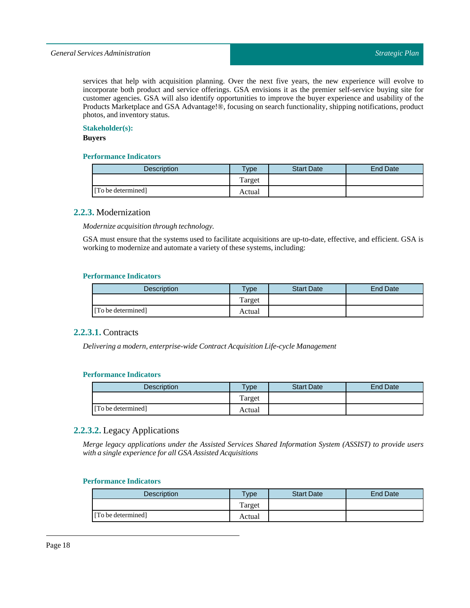services that help with acquisition planning. Over the next five years, the new experience will evolve to incorporate both product and service offerings. GSA envisions it as the premier self-service buying site for customer agencies. GSA will also identify opportunities to improve the buyer experience and usability of the Products Marketplace and GSA Advantage!®, focusing on search functionality, shipping notifications, product photos, and inventory status.

#### **Stakeholder(s):**

#### **Buyers**

#### **Performance Indicators**

| Description        | vpe    | <b>Start Date</b> | End Date |
|--------------------|--------|-------------------|----------|
|                    | Target |                   |          |
| [To be determined] | Actual |                   |          |

#### <span id="page-17-0"></span>**2.2.3.** Modernization

*Modernize acquisition through technology.*

GSA must ensure that the systems used to facilitate acquisitions are up-to-date, effective, and efficient. GSA is working to modernize and automate a variety of these systems, including:

#### **Performance Indicators**

| Description        | $T$ <sub>V</sub> pe | <b>Start Date</b> | End Date |
|--------------------|---------------------|-------------------|----------|
|                    | Target              |                   |          |
| [To be determined] | Actual              |                   |          |

#### <span id="page-17-1"></span>**2.2.3.1.** Contracts

*Delivering a modern, enterprise-wide Contract AcquisitionLife-cycle Management*

#### **Performance Indicators**

| <b>Description</b> | $v$ pe | <b>Start Date</b> | End Date |
|--------------------|--------|-------------------|----------|
|                    | Target |                   |          |
| [To be determined] | Actual |                   |          |

### <span id="page-17-2"></span>**2.2.3.2.** Legacy Applications

*Merge legacy applications under the Assisted Services Shared Information System (ASSIST) to provide users with a single experience for all GSA Assisted Acquisitions*

| <b>Description</b> | $T$ <sub>V</sub> pe | <b>Start Date</b> | End Date |
|--------------------|---------------------|-------------------|----------|
|                    | Target              |                   |          |
| [To be determined] | Actual              |                   |          |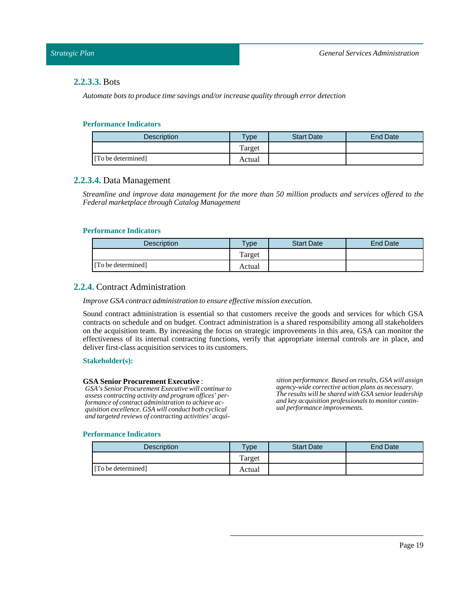### <span id="page-18-0"></span>**2.2.3.3.** Bots

*Automate bots to produce time savings and/or increase quality through error detection*

#### **Performance Indicators**

| Description        | $v_{\rm p}$ | <b>Start Date</b> | End Date |
|--------------------|-------------|-------------------|----------|
|                    | Target      |                   |          |
| [To be determined] | Actual      |                   |          |

### <span id="page-18-1"></span>**2.2.3.4.** Data Management

*Streamline and improve data management for the more than 50 million products and services offered to the Federal marketplace through Catalog Management*

#### **Performance Indicators**

| <b>Description</b> | <b>Type</b> | <b>Start Date</b> | <b>End Date</b> |
|--------------------|-------------|-------------------|-----------------|
|                    | Target      |                   |                 |
| [To be determined] | Actual      |                   |                 |

### <span id="page-18-2"></span>**2.2.4.** Contract Administration

#### *Improve GSA contract administration to ensure effective mission execution.*

Sound contract administration is essential so that customers receive the goods and services for which GSA contracts on schedule and on budget. Contract administration is a shared responsibility among all stakeholders on the acquisition team. By increasing the focus on strategic improvements in this area, GSA can monitor the effectiveness of its internal contracting functions, verify that appropriate internal controls are in place, and deliver first-class acquisition services to its customers.

#### **Stakeholder(s):**

#### **GSA Senior Procurement Executive** :

*GSA's Senior Procurement Executive will continue to assess contracting activity and program offices' performance of contract administration to achieve acquisition excellence. GSA will conduct both cyclical and targeted reviews of contracting activities' acqui-* *sition performance. Based on results, GSA will assign agency-wide corrective action plans as necessary. The results will be shared with GSA senior leadership and key acquisition professionals to monitor continual performance improvements.*

| <b>Description</b> | <b>Vpe</b> | <b>Start Date</b> | End Date |
|--------------------|------------|-------------------|----------|
|                    | Target     |                   |          |
| [To be determined] | Actual     |                   |          |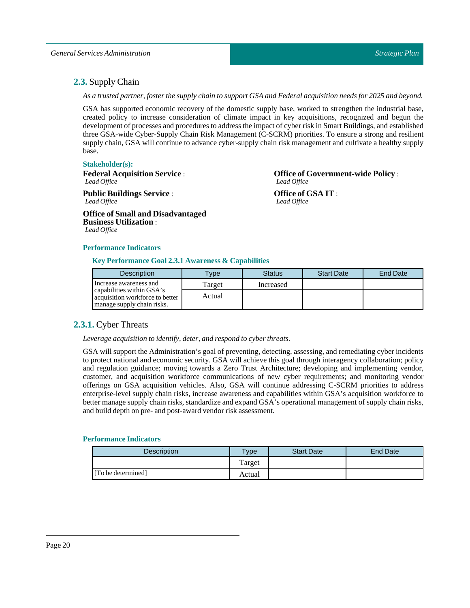### <span id="page-19-0"></span>**2.3.** Supply Chain

As a trusted partner, foster the supply chain to support GSA and Federal acquisition needs for 2025 and beyond.

GSA has supported economic recovery of the domestic supply base, worked to strengthen the industrial base, created policy to increase consideration of climate impact in key acquisitions, recognized and begun the development of processes and procedures to address the impact of cyber risk in Smart Buildings, and established three GSA-wide Cyber-Supply Chain Risk Management (C-SCRM) priorities. To ensure a strong and resilient supply chain, GSA will continue to advance cyber-supply chain risk management and cultivate a healthy supply base.

#### **Stakeholder(s):**

**Federal Acquisition Service** : *Lead Office*

**Public Buildings Service** : *Lead Office*

**Office of Small and Disadvantaged Business Utilization** : *Lead Office*

**Office of Government-wide Policy** : *Lead Office*

**Office of GSA IT** : *Lead Office*

#### **Performance Indicators**

**Key Performance Goal 2.3.1 Awareness & Capabilities**

| Description                                                                                | <b>VDe</b> | <b>Status</b> | <b>Start Date</b> | <b>End Date</b> |
|--------------------------------------------------------------------------------------------|------------|---------------|-------------------|-----------------|
| Increase awareness and                                                                     | Target     | Increased     |                   |                 |
| capabilities within GSA's<br>acquisition workforce to better<br>manage supply chain risks. | Actual     |               |                   |                 |

### <span id="page-19-1"></span>**2.3.1.** Cyber Threats

*Leverage acquisition to identify, deter, and respond to cyber threats.*

GSA will support the Administration's goal of preventing, detecting, assessing, and remediating cyber incidents to protect national and economic security. GSA will achieve this goal through interagency collaboration; policy and regulation guidance; moving towards a Zero Trust Architecture; developing and implementing vendor, customer, and acquisition workforce communications of new cyber requirements; and monitoring vendor offerings on GSA acquisition vehicles. Also, GSA will continue addressing C-SCRM priorities to address enterprise-level supply chain risks, increase awareness and capabilities within GSA's acquisition workforce to better manage supply chain risks, standardize and expand GSA's operational management of supply chain risks, and build depth on pre- and post-award vendor risk assessment.

| <b>Description</b> | Type   | <b>Start Date</b> | <b>End Date</b> |
|--------------------|--------|-------------------|-----------------|
|                    | Target |                   |                 |
| [To be determined] | Actual |                   |                 |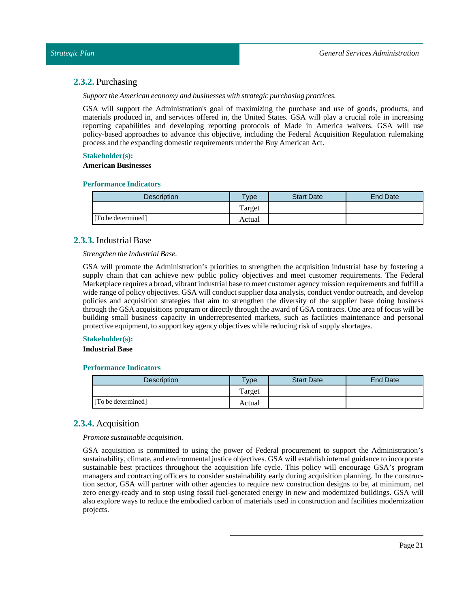### <span id="page-20-0"></span>**2.3.2.** Purchasing

*Support the American economy and businesses with strategic purchasing practices.* 

GSA will support the Administration's goal of maximizing the purchase and use of goods, products, and materials produced in, and services offered in, the United States. GSA will play a crucial role in increasing reporting capabilities and developing reporting protocols of Made in America waivers. GSA will use policy-based approaches to advance this objective, including the Federal Acquisition Regulation rulemaking process and the expanding domestic requirements under the Buy American Act.

#### **Stakeholder(s):**

#### **American Businesses**

#### **Performance Indicators**

| <b>Description</b> | Type   | <b>Start Date</b> | End Date |
|--------------------|--------|-------------------|----------|
|                    | Target |                   |          |
| [To be determined] | Actual |                   |          |

#### <span id="page-20-1"></span>**2.3.3.** Industrial Base

#### *Strengthen the Industrial Base.*

GSA will promote the Administration's priorities to strengthen the acquisition industrial base by fostering a supply chain that can achieve new public policy objectives and meet customer requirements. The Federal Marketplace requires a broad, vibrantindustrial base to meet customer agency mission requirements and fulfill a wide range of policy objectives. GSA will conduct supplier data analysis, conduct vendor outreach, and develop policies and acquisition strategies that aim to strengthen the diversity of the supplier base doing business through the GSA acquisitions program or directly through the award of GSA contracts. One area of focus will be building small business capacity in underrepresented markets, such as facilities maintenance and personal protective equipment, to support key agency objectives while reducing risk of supply shortages.

#### **Stakeholder(s):**

#### **Industrial Base**

#### **Performance Indicators**

| <b>Description</b> | <b>Vpe</b> | <b>Start Date</b> | End Date |
|--------------------|------------|-------------------|----------|
|                    | Target     |                   |          |
| [To be determined] | Actual     |                   |          |

### <span id="page-20-2"></span>**2.3.4.** Acquisition

*Promote sustainable acquisition.*

GSA acquisition is committed to using the power of Federal procurement to support the Administration's sustainability, climate, and environmental justice objectives. GSA will establish internal guidance to incorporate sustainable best practices throughout the acquisition life cycle. This policy will encourage GSA's program managers and contracting officers to consider sustainability early during acquisition planning. In the construction sector, GSA will partner with other agencies to require new construction designs to be, at minimum, net zero energy-ready and to stop using fossil fuel-generated energy in new and modernized buildings. GSA will also explore ways to reduce the embodied carbon of materials used in construction and facilities modernization projects.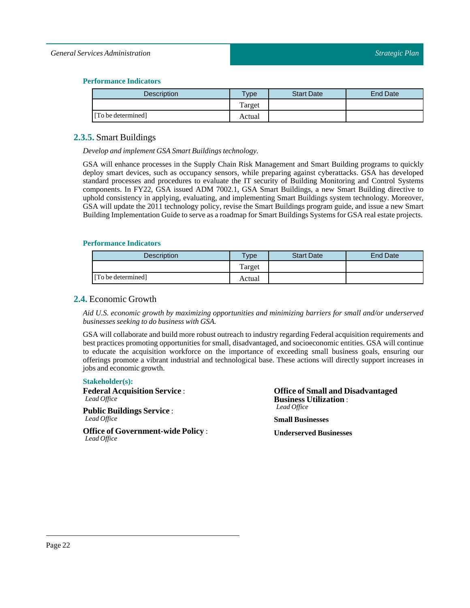#### *General Services Administration*

#### **Performance Indicators**

| Description        | vpe    | <b>Start Date</b> | End Date |
|--------------------|--------|-------------------|----------|
|                    | Target |                   |          |
| [To be determined] | Actual |                   |          |

### <span id="page-21-0"></span>**2.3.5.** Smart Buildings

*Develop and implement GSA Smart Buildings technology.*

GSA will enhance processes in the Supply Chain Risk Management and Smart Building programs to quickly deploy smart devices, such as occupancy sensors, while preparing against cyberattacks. GSA has developed standard processes and procedures to evaluate the IT security of Building Monitoring and Control Systems components. In FY22, GSA issued ADM 7002.1, GSA Smart Buildings, a new Smart Building directive to uphold consistency in applying, evaluating, and implementing Smart Buildings system technology. Moreover, GSA will update the 2011 technology policy, revise the Smart Buildings program guide, and issue a new Smart Building Implementation Guide to serve as a roadmap for Smart Buildings Systems for GSA real estate projects.

#### **Performance Indicators**

| Description        | $T$ <sub>V</sub> $pe$ | <b>Start Date</b> | End Date |
|--------------------|-----------------------|-------------------|----------|
|                    | Target                |                   |          |
| [To be determined] | Actual                |                   |          |

### <span id="page-21-1"></span>**2.4.** Economic Growth

*Aid U.S. economic growth by maximizing opportunities and minimizing barriers for small and/or underserved businesses seeking to do business with GSA.*

GSA will collaborate and build more robust outreach to industry regarding Federal acquisition requirements and best practices promoting opportunities for small, disadvantaged, and socioeconomic entities. GSA will continue to educate the acquisition workforce on the importance of exceeding small business goals, ensuring our offerings promote a vibrant industrial and technological base. These actions will directly support increases in jobs and economic growth.

#### **Stakeholder(s):**

**Federal Acquisition Service** : *Lead Office*

**Public Buildings Service** : *Lead Office*

**Office of Government-wide Policy** : *Lead Office*

**Office of Small and Disadvantaged Business Utilization** : *Lead Office*

**Small Businesses**

**Underserved Businesses**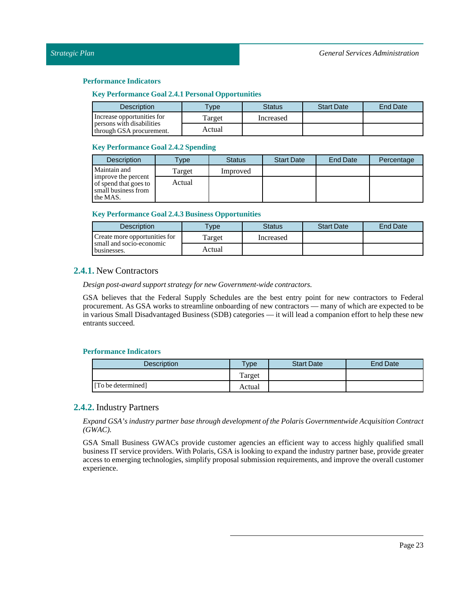#### **Key Performance Goal 2.4.1 Personal Opportunities**

| <b>Description</b>                                    | <b>Type</b> | <b>Status</b> | <b>Start Date</b> | End Date |
|-------------------------------------------------------|-------------|---------------|-------------------|----------|
| Increase opportunities for                            | Target      | Increased     |                   |          |
| persons with disabilities<br>through GSA procurement. | Actual      |               |                   |          |

#### **Key Performance Goal 2.4.2Spending**

| <b>Description</b>                                                              | <b>Type</b> | <b>Status</b> | <b>Start Date</b> | End Date | Percentage |
|---------------------------------------------------------------------------------|-------------|---------------|-------------------|----------|------------|
| Maintain and                                                                    | Target      | Improved      |                   |          |            |
| improve the percent<br>of spend that goes to<br>small business from<br>the MAS. | Actual      |               |                   |          |            |

#### **Key Performance Goal 2.4.3 Business Opportunities**

| <b>Description</b>                      | $T$ vpe | Status    | <b>Start Date</b> | <b>End Date</b> |
|-----------------------------------------|---------|-----------|-------------------|-----------------|
| Create more opportunities for           | Target  | Increased |                   |                 |
| small and socio-economic<br>businesses. | Actual  |           |                   |                 |

#### <span id="page-22-0"></span>**2.4.1.** New Contractors

#### *Design post-award support strategy for new Government-wide contractors.*

GSA believes that the Federal Supply Schedules are the best entry point for new contractors to Federal procurement. As GSA works to streamline onboarding of new contractors — many of which are expected to be in various Small Disadvantaged Business (SDB) categories — it will lead a companion effort to help these new entrants succeed.

#### **Performance Indicators**

| <b>Description</b> | <b>Type</b> | <b>Start Date</b> | <b>End Date</b> |
|--------------------|-------------|-------------------|-----------------|
|                    | Target      |                   |                 |
| [To be determined] | Actual      |                   |                 |

### <span id="page-22-1"></span>**2.4.2.** Industry Partners

*Expand GSA's industry partner base through development of the Polaris Governmentwide Acquisition Contract (GWAC).*

GSA Small Business GWACs provide customer agencies an efficient way to access highly qualified small business IT service providers. With Polaris, GSA is looking to expand the industry partner base, provide greater access to emerging technologies, simplify proposal submission requirements, and improve the overall customer experience.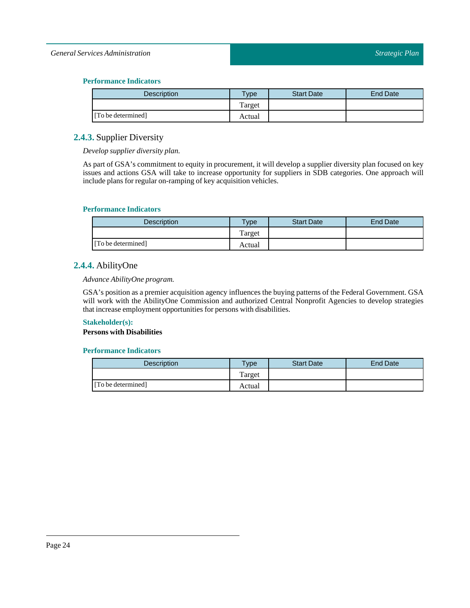#### *General Services Administration*

#### **Performance Indicators**

| <b>Description</b> | <b>Type</b> | <b>Start Date</b> | End Date |
|--------------------|-------------|-------------------|----------|
|                    | Target      |                   |          |
| [To be determined] | Actual      |                   |          |

### <span id="page-23-0"></span>**2.4.3.** Supplier Diversity

*Develop supplier diversity plan.*

As part of GSA's commitment to equity in procurement, it will develop a supplier diversity plan focused on key issues and actions GSA will take to increase opportunity for suppliers in SDB categories. One approach will include plans for regular on-ramping of key acquisition vehicles.

#### **Performance Indicators**

| <b>Description</b> | $T$ vpe | <b>Start Date</b> | End Date |
|--------------------|---------|-------------------|----------|
|                    | Target  |                   |          |
| [To be determined] | Actual  |                   |          |

### <span id="page-23-1"></span>**2.4.4.** AbilityOne

### *Advance AbilityOne program.*

GSA's position as a premier acquisition agency influences the buying patterns of the Federal Government. GSA will work with the AbilityOne Commission and authorized Central Nonprofit Agencies to develop strategies that increase employment opportunities for persons with disabilities.

#### **Stakeholder(s):**

**Persons with Disabilities**

| <b>Description</b> | $T$ <sub>V</sub> $pe$ | <b>Start Date</b> | End Date |
|--------------------|-----------------------|-------------------|----------|
|                    | Target                |                   |          |
| [To be determined] | Actual                |                   |          |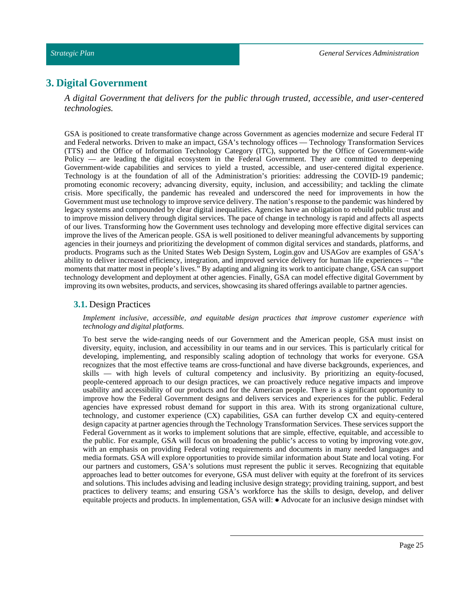### <span id="page-24-0"></span>**3. Digital Government**

*A digital Government that delivers for the public through trusted, accessible, and user-centered technologies.*

GSA is positioned to create transformative change across Government as agencies modernize and secure Federal IT and Federal networks. Driven to make an impact, GSA's technology offices — Technology Transformation Services (TTS) and the Office of Information Technology Category (ITC), supported by the Office of Government-wide Policy — are leading the digital ecosystem in the Federal Government. They are committed to deepening Government-wide capabilities and services to yield a trusted, accessible, and user-centered digital experience. Technology is at the foundation of all of the Administration's priorities: addressing the COVID-19 pandemic; promoting economic recovery; advancing diversity, equity, inclusion, and accessibility; and tackling the climate crisis. More specifically, the pandemic has revealed and underscored the need for improvements in how the Government must use technology to improve service delivery. The nation's response to the pandemic was hindered by legacy systems and compounded by clear digital inequalities. Agencies have an obligation to rebuild public trust and to improve mission delivery through digital services. The pace of change in technology is rapid and affects all aspects of our lives. Transforming how the Government uses technology and developing more effective digital services can improve the lives of the American people. GSA is well positioned to deliver meaningful advancements by supporting agencies in their journeys and prioritizing the development of common digital services and standards, platforms, and products. Programs such as the United States Web Design System, Login.gov and USAGov are examples of GSA's ability to deliver increased efficiency, integration, and improved service delivery for human life experiences – "the moments that matter most in people's lives." By adapting and aligning its work to anticipate change, GSA can support technology development and deployment at other agencies. Finally, GSA can model effective digital Government by improving its own websites, products, and services, showcasing its shared offerings available to partner agencies.

#### <span id="page-24-1"></span>**3.1.** Design Practices

#### *Implement inclusive, accessible, and equitable design practices that improve customer experience with technology and digital platforms.*

To best serve the wide-ranging needs of our Government and the American people, GSA must insist on diversity, equity, inclusion, and accessibility in our teams and in our services. This is particularly critical for developing, implementing, and responsibly scaling adoption of technology that works for everyone. GSA recognizes that the most effective teams are cross-functional and have diverse backgrounds, experiences, and skills — with high levels of cultural competency and inclusivity. By prioritizing an equity-focused, people-centered approach to our design practices, we can proactively reduce negative impacts and improve usability and accessibility of our products and for the American people. There is a significant opportunity to improve how the Federal Government designs and delivers services and experiences for the public. Federal agencies have expressed robust demand for support in this area. With its strong organizational culture, technology, and customer experience (CX) capabilities, GSA can further develop CX and equity-centered design capacity at partner agencies through the Technology Transformation Services. These services support the Federal Government as it works to implement solutions that are simple, effective, equitable, and accessible to the public. For example, GSA will focus on broadening the public's access to voting by improving vote.gov, with an emphasis on providing Federal voting requirements and documents in many needed languages and media formats. GSA will explore opportunities to provide similar information about State and local voting. For our partners and customers, GSA's solutions must represent the public it serves. Recognizing that equitable approaches lead to better outcomes for everyone, GSA must deliver with equity at the forefront of its services and solutions. This includes advising and leading inclusive design strategy; providing training, support, and best practices to delivery teams; and ensuring GSA's workforce has the skills to design, develop, and deliver equitable projects and products. In implementation, GSA will: ● Advocate for an inclusive design mindset with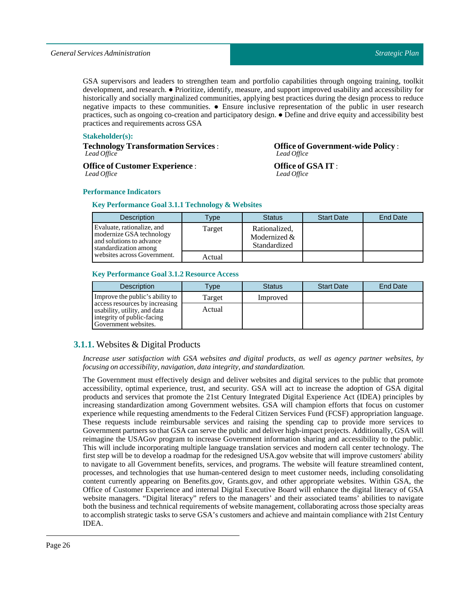GSA supervisors and leaders to strengthen team and portfolio capabilities through ongoing training, toolkit development, and research. ● Prioritize, identify, measure, and support improved usability and accessibility for historically and socially marginalized communities, applying best practices during the design process to reduce negative impacts to these communities. ● Ensure inclusive representation of the public in user research practices, such as ongoing co-creation and participatory design. ● Define and drive equity and accessibility best practices and requirements across GSA

#### **Stakeholder(s):**

**Technology Transformation Services** : *Lead Office*

**Office of Customer Experience** : *Lead Office*

### **Office of Government-wide Policy** : *Lead Office*

**Office of GSA IT** : *Lead Office*

#### **Performance Indicators**

#### **Key Performance Goal 3.1.1 Technology & Websites**

| <b>Description</b>                                                                                          | Type   | <b>Status</b>                                 | <b>Start Date</b> | End Date |
|-------------------------------------------------------------------------------------------------------------|--------|-----------------------------------------------|-------------------|----------|
| Evaluate, rationalize, and<br>modernize GSA technology<br>and solutions to advance<br>standardization among | Target | Rationalized,<br>Modernized &<br>Standardized |                   |          |
| websites across Government.                                                                                 | Actual |                                               |                   |          |

#### **Key Performance Goal 3.1.2 Resource Access**

| <b>Description</b>                                                                                                   | <b>Type</b> | <b>Status</b> | <b>Start Date</b> | <b>End Date</b> |
|----------------------------------------------------------------------------------------------------------------------|-------------|---------------|-------------------|-----------------|
| Improve the public's ability to                                                                                      | Target      | Improved      |                   |                 |
| access resources by increasing<br>usability, utility, and data<br>integrity of public-facing<br>Government websites. | Actual      |               |                   |                 |

### <span id="page-25-0"></span>**3.1.1.** Websites & Digital Products

*Increase user satisfaction with GSA websites and digital products, as well as agency partner websites, by focusing on accessibility, navigation, data integrity, and standardization.*

The Government must effectively design and deliver websites and digital services to the public that promote accessibility, optimal experience, trust, and security. GSA will act to increase the adoption of GSA digital products and services that promote the 21st Century Integrated Digital Experience Act (IDEA) principles by increasing standardization among Government websites. GSA will champion efforts that focus on customer experience while requesting amendments to the Federal Citizen Services Fund (FCSF) appropriation language. These requests include reimbursable services and raising the spending cap to provide more services to Government partners so that GSA can serve the public and deliver high-impact projects. Additionally, GSA will reimagine the USAGov program to increase Government information sharing and accessibility to the public. This will include incorporating multiple language translation services and modern call center technology. The first step will be to develop a roadmap for the redesigned USA.gov website that will improve customers' ability to navigate to all Government benefits, services, and programs. The website will feature streamlined content, processes, and technologies that use human-centered design to meet customer needs, including consolidating content currently appearing on Benefits.gov, Grants.gov, and other appropriate websites. Within GSA, the Office of Customer Experience and internal Digital Executive Board will enhance the digital literacy of GSA website managers. "Digital literacy" refers to the managers' and their associated teams' abilities to navigate both the business and technical requirements of website management, collaborating across those specialty areas to accomplish strategic tasks to serve GSA's customers and achieve and maintain compliance with 21st Century IDEA.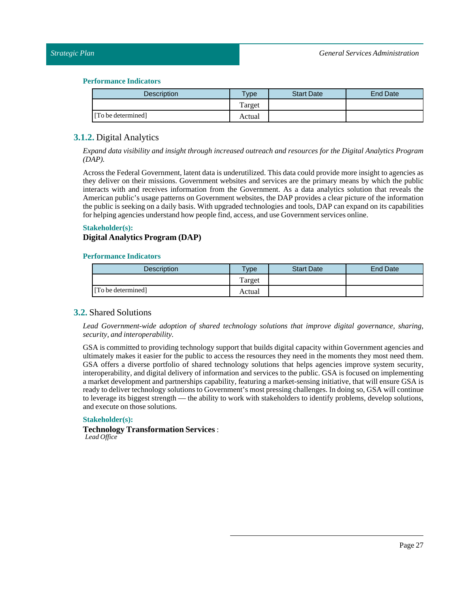| <b>Description</b> | <b>Vpe</b> | <b>Start Date</b> | <b>End Date</b> |
|--------------------|------------|-------------------|-----------------|
|                    | Target     |                   |                 |
| [To be determined] | Actual     |                   |                 |

### <span id="page-26-0"></span>**3.1.2.** Digital Analytics

*Expand data visibility and insight through increased outreach and resources for the Digital Analytics Program (DAP).*

Across the Federal Government, latent data is underutilized. This data could provide more insight to agencies as they deliver on their missions. Government websites and services are the primary means by which the public interacts with and receives information from the Government. As a data analytics solution that reveals the American public's usage patterns on Government websites, the DAP provides a clear picture of the information the public is seeking on a daily basis. With upgraded technologies and tools, DAP can expand on its capabilities for helping agencies understand how people find, access, and use Government services online.

#### **Stakeholder(s):**

### **Digital Analytics Program (DAP)**

#### **Performance Indicators**

| <b>Description</b> | $T$ ype | <b>Start Date</b> | End Date |
|--------------------|---------|-------------------|----------|
|                    | Target  |                   |          |
| [To be determined] | Actual  |                   |          |

### <span id="page-26-1"></span>**3.2.** Shared Solutions

*Lead Government-wide adoption of shared technology solutions that improve digital governance, sharing, security, and interoperability.*

GSA is committed to providing technology support that builds digital capacity within Government agencies and ultimately makes it easier for the public to access the resources they need in the moments they most need them. GSA offers a diverse portfolio of shared technology solutions that helps agencies improve system security, interoperability, and digital delivery of information and services to the public. GSA is focused on implementing a market development and partnerships capability, featuring a market-sensing initiative, that will ensure GSA is ready to deliver technology solutions to Government's most pressing challenges. In doing so, GSA will continue to leverage its biggest strength — the ability to work with stakeholders to identify problems, develop solutions, and execute on those solutions.

#### **Stakeholder(s):**

#### **Technology Transformation Services** : *Lead Office*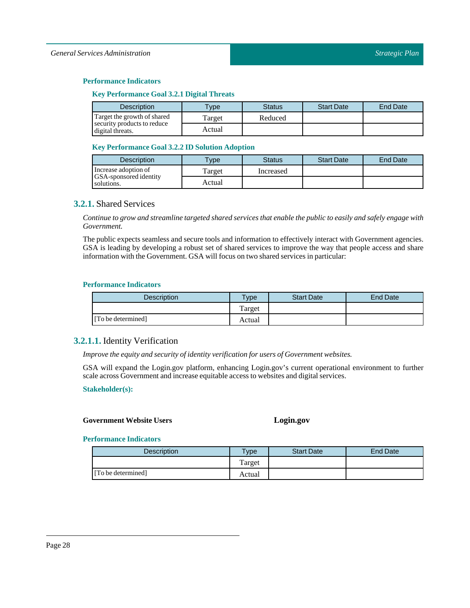#### **Key Performance Goal 3.2.1 Digital Threats**

| <b>Description</b>                              | $T$ vpe | Status  | <b>Start Date</b> | End Date |
|-------------------------------------------------|---------|---------|-------------------|----------|
| Target the growth of shared                     | Target  | Reduced |                   |          |
| security products to reduce<br>digital threats. | Actual  |         |                   |          |

#### **Key Performance Goal 3.2.2 ID Solution Adoption**

| <b>Description</b>                          | <b>VDe</b> | <b>Status</b> | <b>Start Date</b> | <b>End Date</b> |
|---------------------------------------------|------------|---------------|-------------------|-----------------|
| Increase adoption of                        | Target     | Increased     |                   |                 |
| <b>GSA-sponsored identity</b><br>solutions. | Actual     |               |                   |                 |

### <span id="page-27-0"></span>**3.2.1.** Shared Services

Continue to grow and streamline targeted shared services that enable the public to easily and safely engage with *Government.*

The public expects seamless and secure tools and information to effectively interact with Government agencies. GSA is leading by developing a robust set of shared services to improve the way that people access and share information with the Government. GSA will focus on two shared services in particular:

#### **Performance Indicators**

| <b>Description</b> | <b>Type</b> | <b>Start Date</b> | End Date |
|--------------------|-------------|-------------------|----------|
|                    | Target      |                   |          |
| [To be determined] | Actual      |                   |          |

### <span id="page-27-1"></span>**3.2.1.1.** Identity Verification

*Improve the equity and security ofidentity verification for users of Government websites.*

GSA will expand the Login.gov platform, enhancing Login.gov's current operational environment to further scale across Government and increase equitable access to websites and digital services.

#### **Stakeholder(s):**

#### **Government Website Users Login.gov**

| <b>Description</b> | <b>Type</b> | <b>Start Date</b> | End Date |
|--------------------|-------------|-------------------|----------|
|                    | Target      |                   |          |
| [To be determined] | Actual      |                   |          |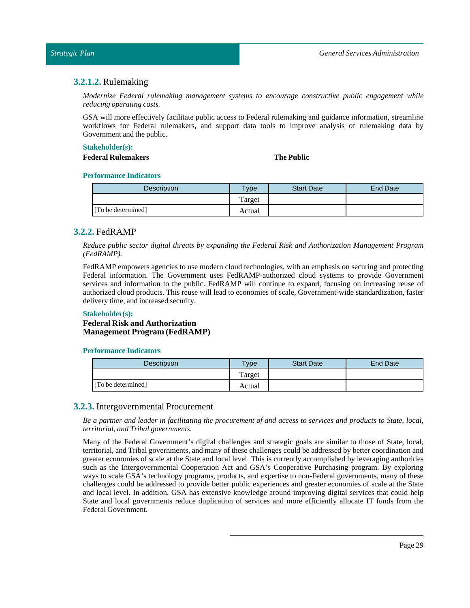### <span id="page-28-0"></span>**3.2.1.2.** Rulemaking

*Modernize Federal rulemaking management systems to encourage constructive public engagement while reducing operating costs.*

GSA will more effectively facilitate public access to Federal rulemaking and guidance information, streamline workflows for Federal rulemakers, and support data tools to improve analysis of rulemaking data by Government and the public.

#### **Stakeholder(s):**

### **Federal Rulemakers The Public**

#### **Performance Indicators**

| Description        | $T$ <sub>ype</sub> | <b>Start Date</b> | <b>End Date</b> |
|--------------------|--------------------|-------------------|-----------------|
|                    | Target             |                   |                 |
| [To be determined] | Actual             |                   |                 |

### <span id="page-28-1"></span>**3.2.2.** FedRAMP

*Reduce public sector digital threats by expanding the Federal Risk and Authorization Management Program (FedRAMP).*

FedRAMP empowers agencies to use modern cloud technologies, with an emphasis on securing and protecting Federal information. The Government uses FedRAMP-authorized cloud systems to provide Government services and information to the public. FedRAMP will continue to expand, focusing on increasing reuse of authorized cloud products. This reuse will lead to economies of scale, Government-wide standardization, faster delivery time, and increased security.

#### **Stakeholder(s):**

#### **Federal Risk and Authorization Management Program (FedRAMP)**

#### **Performance Indicators**

| Description        | $T$ vpe | <b>Start Date</b> | <b>End Date</b> |
|--------------------|---------|-------------------|-----------------|
|                    | Target  |                   |                 |
| [To be determined] | Actual  |                   |                 |

### <span id="page-28-2"></span>**3.2.3.** Intergovernmental Procurement

Be a partner and leader in facilitating the procurement of and access to services and products to State, local, *territorial, andTribal governments.*

Many of the Federal Government's digital challenges and strategic goals are similar to those of State, local, territorial, and Tribal governments, and many of these challenges could be addressed by better coordination and greater economies of scale at the State and local level. This is currently accomplished by leveraging authorities such as the Intergovernmental Cooperation Act and GSA's Cooperative Purchasing program. By exploring ways to scale GSA's technology programs, products, and expertise to non-Federal governments, many of these challenges could be addressed to provide better public experiences and greater economies of scale at the State and local level. In addition, GSA has extensive knowledge around improving digital services that could help State and local governments reduce duplication of services and more efficiently allocate IT funds from the Federal Government.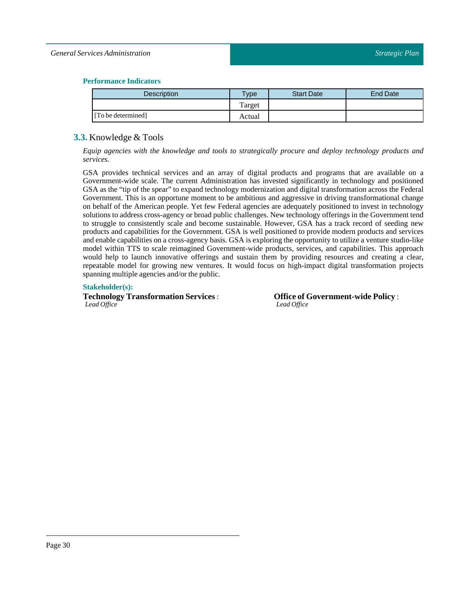#### *General Services Administration*

#### **Performance Indicators**

| <b>Description</b> | <b>Type</b> | <b>Start Date</b> | <b>End Date</b> |
|--------------------|-------------|-------------------|-----------------|
|                    | Target      |                   |                 |
| [To be determined] | Actual      |                   |                 |

### <span id="page-29-0"></span>**3.3.** Knowledge & Tools

*Equip agencies with the knowledge and tools to strategically procure and deploy technology products and services.*

GSA provides technical services and an array of digital products and programs that are available on a Government-wide scale. The current Administration has invested significantly in technology and positioned GSA as the "tip of the spear" to expand technology modernization and digital transformation across the Federal Government. This is an opportune moment to be ambitious and aggressive in driving transformational change on behalf of the American people. Yet few Federal agencies are adequately positioned to invest in technology solutions to address cross-agency or broad public challenges. New technology offerings in the Government tend to struggle to consistently scale and become sustainable. However, GSA has a track record of seeding new products and capabilities for the Government. GSA is well positioned to provide modern products and services and enable capabilities on a cross-agency basis. GSA is exploring the opportunity to utilize a venture studio-like model within TTS to scale reimagined Government-wide products, services, and capabilities. This approach would help to launch innovative offerings and sustain them by providing resources and creating a clear, repeatable model for growing new ventures. It would focus on high-impact digital transformation projects spanning multiple agencies and/or the public.

#### **Stakeholder(s):**

**Technology Transformation Services** : *Lead Office*

**Office of Government-wide Policy** : *Lead Office*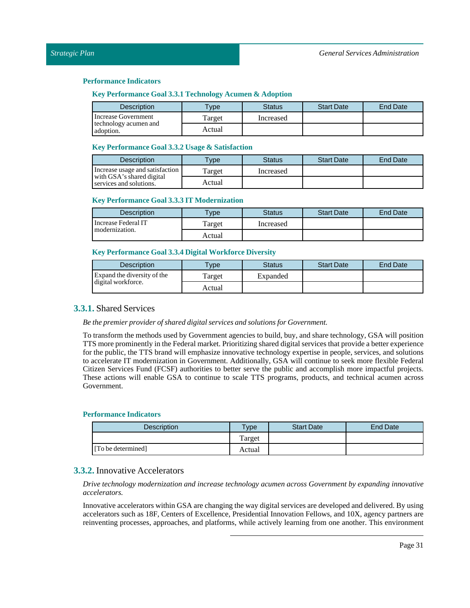#### **Key Performance Goal 3.3.1 Technology Acumen & Adoption**

| <b>Description</b>                 | <b>VDe</b> | Status    | <b>Start Date</b> | End Date |
|------------------------------------|------------|-----------|-------------------|----------|
| <b>Increase Government</b>         | Target     | Increased |                   |          |
| technology acumen and<br>adoption. | Actual     |           |                   |          |

#### **Key Performance Goal 3.3.2 Usage & Satisfaction**

| <b>Description</b>                                   | $T$ vpe | Status    | <b>Start Date</b> | <b>End Date</b> |
|------------------------------------------------------|---------|-----------|-------------------|-----------------|
| Increase usage and satisfaction                      | Target  | Increased |                   |                 |
| with GSA's shared digital<br>services and solutions. | Actual  |           |                   |                 |

#### **Key Performance Goal 3.3.3 IT Modernization**

| <b>Description</b>  | $T$ vpe | <b>Status</b> | <b>Start Date</b> | <b>End Date</b> |
|---------------------|---------|---------------|-------------------|-----------------|
| Increase Federal IT | Target  | Increased     |                   |                 |
| modernization.      | Actual  |               |                   |                 |

### **Key Performance Goal 3.3.4 Digital Workforce Diversity**

| <b>Description</b>          | <b>Vpe</b> | <b>Status</b> | <b>Start Date</b> | <b>End Date</b> |
|-----------------------------|------------|---------------|-------------------|-----------------|
| Expand the diversity of the | l'arget    | Expanded      |                   |                 |
| digital workforce.          | Actual     |               |                   |                 |

### <span id="page-30-0"></span>**3.3.1.** Shared Services

*Be the premier provider of shared digital services and solutions for Government.*

To transform the methods used by Government agencies to build, buy, and share technology, GSA will position TTS more prominently in theFederal market. Prioritizing shared digital services that provide a better experience for the public, the TTS brand will emphasize innovative technology expertise in people, services, and solutions to accelerate IT modernization in Government. Additionally, GSA will continue to seek more flexible Federal Citizen Services Fund (FCSF) authorities to better serve the public and accomplish more impactful projects. These actions will enable GSA to continue to scale TTS programs, products, and technical acumen across Government.

#### **Performance Indicators**

| <b>Description</b> | Type   | <b>Start Date</b> | <b>End Date</b> |
|--------------------|--------|-------------------|-----------------|
|                    | Target |                   |                 |
| [To be determined] | Actual |                   |                 |

### <span id="page-30-1"></span>**3.3.2.** Innovative Accelerators

*Drive technology modernization and increase technology acumen across Government by expanding innovative accelerators.*

Innovative accelerators within GSA are changing the way digital services are developed and delivered. By using accelerators such as 18F, Centers of Excellence, Presidential Innovation Fellows, and 10X, agency partners are reinventing processes, approaches, and platforms, while actively learning from one another. This environment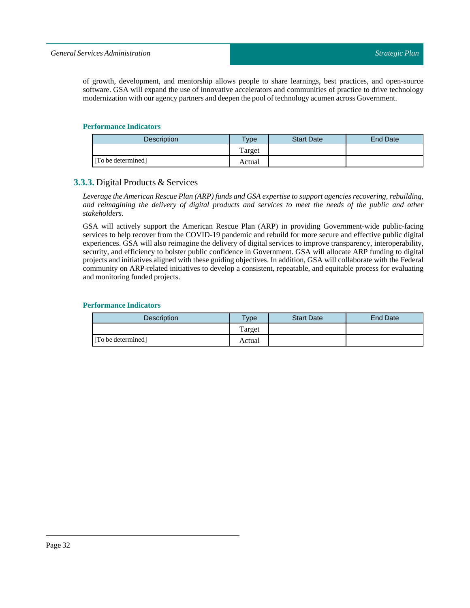of growth, development, and mentorship allows people to share learnings, best practices, and open-source software. GSA will expand the use of innovative accelerators and communities of practice to drive technology modernization with our agency partners and deepen the pool of technology acumen across Government.

#### **Performance Indicators**

| Description        | <b>Type</b> | <b>Start Date</b> | <b>End Date</b> |
|--------------------|-------------|-------------------|-----------------|
|                    | Target      |                   |                 |
| [To be determined] | Actual      |                   |                 |

### <span id="page-31-0"></span>**3.3.3.** Digital Products & Services

*Leverage the American Rescue Plan (ARP) funds and GSA expertise to support agencies recovering, rebuilding,* and reimagining the delivery of digital products and services to meet the needs of the public and other *stakeholders.*

GSA will actively support the American Rescue Plan (ARP) in providing Government-wide public-facing services to help recover from the COVID-19 pandemic and rebuild for more secure and effective public digital experiences. GSA will also reimagine the delivery of digital services to improve transparency, interoperability, security, and efficiency to bolster public confidence in Government. GSA will allocate ARP funding to digital projects and initiatives aligned with these guiding objectives. In addition, GSA will collaborate with the Federal community on ARP-related initiatives to develop a consistent, repeatable, and equitable process for evaluating and monitoring funded projects.

| <b>Description</b> | $T$ <sub>V</sub> $pe$ | <b>Start Date</b> | <b>End Date</b> |
|--------------------|-----------------------|-------------------|-----------------|
|                    | Target                |                   |                 |
| [To be determined] | Actual                |                   |                 |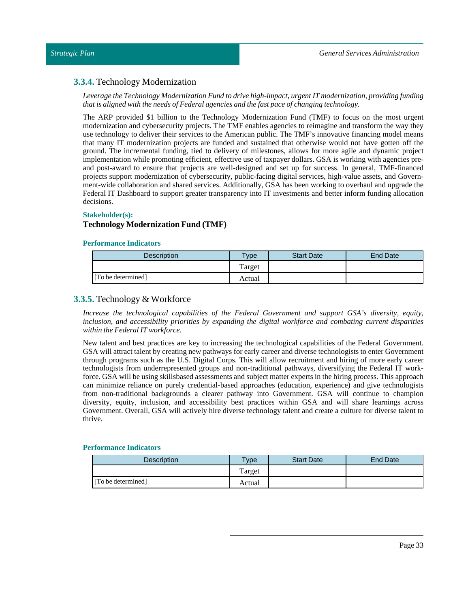### <span id="page-32-0"></span>**3.3.4.** Technology Modernization

*Leverage theTechnology Modernization Fund to drive high-impact, urgent IT modernization, providing funding thatis aligned with the needs of Federal agencies and the fast pace of changing technology.*

The ARP provided \$1 billion to the Technology Modernization Fund (TMF) to focus on the most urgent modernization and cybersecurity projects. The TMF enables agencies to reimagine and transform the way they use technology to deliver their services to the American public. The TMF's innovative financing model means that many IT modernization projects are funded and sustained that otherwise would not have gotten off the ground. The incremental funding, tied to delivery of milestones, allows for more agile and dynamic project implementation while promoting efficient, effective use of taxpayer dollars. GSA is working with agencies preand post-award to ensure that projects are well-designed and set up for success. In general, TMF-financed projects support modernization of cybersecurity, public-facing digital services, high-value assets, and Government-wide collaboration and shared services. Additionally, GSA has been working to overhaul and upgrade the Federal IT Dashboard to support greater transparency into IT investments and better inform funding allocation decisions.

#### **Stakeholder(s):**

#### **Technology Modernization Fund (TMF)**

#### **Performance Indicators**

| <b>Description</b> | vpe    | <b>Start Date</b> | <b>End Date</b> |
|--------------------|--------|-------------------|-----------------|
|                    | Target |                   |                 |
| [To be determined] | Actual |                   |                 |

### <span id="page-32-1"></span>**3.3.5.** Technology & Workforce

*Increase the technological capabilities of the Federal Government and support GSA's diversity, equity, inclusion, and accessibility priorities by expanding the digital workforce and combating current disparities within the Federal IT workforce.*

New talent and best practices are key to increasing the technological capabilities of the Federal Government. GSA will attract talent by creating new pathways for early career and diverse technologists to enter Government through programs such as the U.S. Digital Corps. This will allow recruitment and hiring of more early career technologists from underrepresented groups and non-traditional pathways, diversifying the Federal IT workforce. GSA will be using skillsbased assessments and subject matter experts in the hiring process. This approach can minimize reliance on purely credential-based approaches (education, experience) and give technologists from non-traditional backgrounds a clearer pathway into Government. GSA will continue to champion diversity, equity, inclusion, and accessibility best practices within GSA and will share learnings across Government. Overall, GSA will actively hire diverse technology talent and create a culture for diverse talent to thrive.

| <b>Description</b> | vpe    | <b>Start Date</b> | End Date |
|--------------------|--------|-------------------|----------|
|                    | Target |                   |          |
| [To be determined] | Actual |                   |          |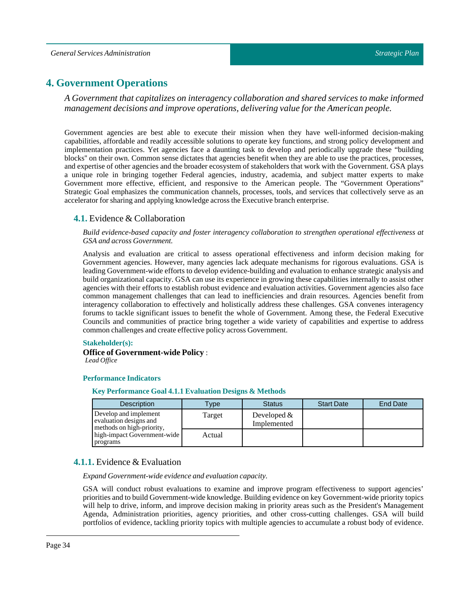### <span id="page-33-0"></span>**4. Government Operations**

*A Government that capitalizes on interagency collaboration and shared services to make informed management decisions and improve operations, delivering value for the American people.*

Government agencies are best able to execute their mission when they have well-informed decision-making capabilities, affordable and readily accessible solutions to operate key functions, and strong policy development and implementation practices. Yet agencies face a daunting task to develop and periodically upgrade these "building blocks'' on their own. Common sense dictates that agencies benefit when they are able to use the practices, processes, and expertise of other agencies and the broader ecosystem of stakeholders that work with the Government. GSA plays a unique role in bringing together Federal agencies, industry, academia, and subject matter experts to make Government more effective, efficient, and responsive to the American people. The "Government Operations" Strategic Goal emphasizes the communication channels, processes, tools, and services that collectively serve as an accelerator for sharing and applying knowledge across the Executive branch enterprise.

#### <span id="page-33-1"></span>**4.1.** Evidence & Collaboration

*Build evidence-based capacity and foster interagency collaboration to strengthen operational effectiveness at GSA and across Government.*

Analysis and evaluation are critical to assess operational effectiveness and inform decision making for Government agencies. However, many agencies lack adequate mechanisms for rigorous evaluations. GSA is leading Government-wide efforts to develop evidence-building and evaluation to enhance strategic analysis and build organizational capacity. GSA can use its experience in growing these capabilities internally to assist other agencies with their efforts to establish robust evidence and evaluation activities. Government agencies also face common management challenges that can lead to inefficiencies and drain resources. Agencies benefit from interagency collaboration to effectively and holistically address these challenges. GSA convenes interagency forums to tackle significant issues to benefit the whole of Government. Among these, the Federal Executive Councils and communities of practice bring together a wide variety of capabilities and expertise to address common challenges and create effective policy across Government.

#### **Stakeholder(s):**

**Office of Government-wide Policy** : *Lead Office*

#### **Performance Indicators**

**Key Performance Goal 4.1.1 Evaluation Designs & Methods**

| <b>Description</b>                                                           | Type   | <b>Status</b>                | <b>Start Date</b> | End Date |
|------------------------------------------------------------------------------|--------|------------------------------|-------------------|----------|
| Develop and implement<br>evaluation designs and<br>methods on high-priority, | Target | Developed $&$<br>Implemented |                   |          |
| high-impact Government-wide<br>programs                                      | Actual |                              |                   |          |

### <span id="page-33-2"></span>**4.1.1.** Evidence & Evaluation

*Expand Government-wide evidence and evaluation capacity.*

GSA will conduct robust evaluations to examine and improve program effectiveness to support agencies' priorities and to build Government-wide knowledge. Building evidence on key Government-wide priority topics will help to drive, inform, and improve decision making in priority areas such as the President's Management Agenda, Administration priorities, agency priorities, and other cross-cutting challenges. GSA will build portfolios of evidence, tackling priority topics with multiple agencies to accumulate a robust body of evidence.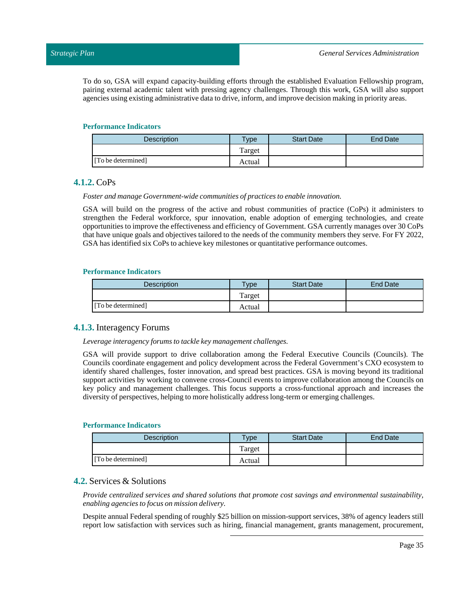To do so, GSA will expand capacity-building efforts through the established Evaluation Fellowship program, pairing external academic talent with pressing agency challenges. Through this work, GSA will also support agencies using existing administrative data to drive, inform, and improve decision making in priority areas.

#### **Performance Indicators**

| <b>Description</b> | $T$ <sub>V</sub> pe | <b>Start Date</b> | <b>End Date</b> |
|--------------------|---------------------|-------------------|-----------------|
|                    | Target              |                   |                 |
| [To be determined] | Actual              |                   |                 |

### <span id="page-34-0"></span>**4.1.2.** CoPs

*Foster and manage Government-wide communities of practices to enable innovation.*

GSA will build on the progress of the active and robust communities of practice (CoPs) it administers to strengthen the Federal workforce, spur innovation, enable adoption of emerging technologies, and create opportunities to improve the effectiveness and efficiency of Government. GSA currently manages over 30 CoPs that have unique goals and objectives tailored to the needs of the community members they serve. For FY 2022, GSA has identified six CoPs to achieve key milestones or quantitative performance outcomes.

#### **Performance Indicators**

| <b>Description</b> | <b>Vpe</b> | <b>Start Date</b> | End Date |
|--------------------|------------|-------------------|----------|
|                    | l'arget    |                   |          |
| [To be determined] | Actual     |                   |          |

### <span id="page-34-1"></span>**4.1.3.** Interagency Forums

*Leverage interagency forums to tackle key management challenges.*

GSA will provide support to drive collaboration among the Federal Executive Councils (Councils). The Councils coordinate engagement and policy development across the Federal Government's CXO ecosystem to identify shared challenges, foster innovation, and spread best practices. GSA is moving beyond its traditional support activities by working to convene cross-Council events to improve collaboration among the Councils on key policy and management challenges. This focus supports a cross-functional approach and increases the diversity of perspectives, helping to more holistically address long-term or emerging challenges.

#### **Performance Indicators**

| <b>Description</b> | <b>Type</b> | <b>Start Date</b> | End Date |
|--------------------|-------------|-------------------|----------|
|                    | Target      |                   |          |
| [To be determined] | Actual      |                   |          |

### <span id="page-34-2"></span>**4.2.** Services & Solutions

*Provide centralized services and shared solutions that promote cost savings and environmental sustainability, enabling agencies to focus on mission delivery.*

Despite annual Federal spending of roughly \$25 billion on mission-support services, 38% of agency leaders still report low satisfaction with services such as hiring, financial management, grants management, procurement,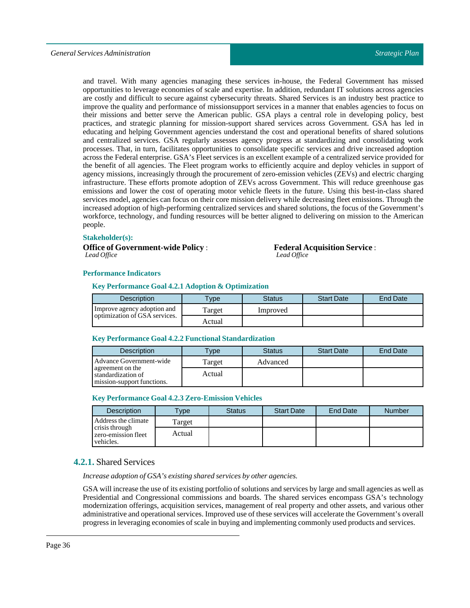and travel. With many agencies managing these services in-house, the Federal Government has missed opportunities to leverage economies of scale and expertise. In addition, redundant IT solutions across agencies are costly and difficult to secure against cybersecurity threats. Shared Services is an industry best practice to improve the quality and performance of missionsupport services in a manner that enables agencies to focus on their missions and better serve the American public. GSA plays a central role in developing policy, best practices, and strategic planning for mission-support shared services across Government. GSA has led in educating and helping Government agencies understand the cost and operational benefits of shared solutions and centralized services. GSA regularly assesses agency progress at standardizing and consolidating work processes. That, in turn, facilitates opportunities to consolidate specific services and drive increased adoption across the Federal enterprise. GSA's Fleet services is an excellent example of a centralized service provided for the benefit of all agencies. The Fleet program works to efficiently acquire and deploy vehicles in support of agency missions, increasingly through the procurement of zero-emission vehicles (ZEVs) and electric charging infrastructure. These efforts promote adoption of ZEVs across Government. This will reduce greenhouse gas emissions and lower the cost of operating motor vehicle fleets in the future. Using this best-in-class shared services model, agencies can focus on their core mission delivery while decreasing fleet emissions. Through the increased adoption of high-performing centralized services and shared solutions, the focus of the Government's workforce, technology, and funding resources will be better aligned to delivering on mission to the American people.

#### **Stakeholder(s):**

**Office of Government-wide Policy** : *Lead Office*

**Federal Acquisition Service** : *Lead Office*

#### **Performance Indicators**

#### **Key Performance Goal 4.2.1 Adoption & Optimization**

| Description                   | <b>Type</b> | Status   | <b>Start Date</b> | <b>End Date</b> |
|-------------------------------|-------------|----------|-------------------|-----------------|
| Improve agency adoption and   | Target      | Improved |                   |                 |
| optimization of GSA services. | Actual      |          |                   |                 |

#### **Key Performance Goal 4.2.2 FunctionalStandardization**

| <b>Description</b>                                                   | <b>Vpe</b> | <b>Status</b> | <b>Start Date</b> | End Date |
|----------------------------------------------------------------------|------------|---------------|-------------------|----------|
| Advance Government-wide                                              | Target     | Advanced      |                   |          |
| agreement on the<br>standardization of<br>mission-support functions. | Actual     |               |                   |          |

#### **Key Performance Goal 4.2.3 Zero-Emission Vehicles**

| <b>Description</b>                                 | <b>Type</b> | <b>Status</b> | <b>Start Date</b> | End Date | <b>Number</b> |
|----------------------------------------------------|-------------|---------------|-------------------|----------|---------------|
| Address the climate                                | Target      |               |                   |          |               |
| crisis through<br>zero-emission fleet<br>vehicles. | Actual      |               |                   |          |               |

### <span id="page-35-0"></span>**4.2.1.** Shared Services

*Increase adoption of GSA's existing shared services by other agencies.*

GSA willincrease the use of its existing portfolio of solutions and services by large and small agencies as well as Presidential and Congressional commissions and boards. The shared services encompass GSA's technology modernization offerings, acquisition services, management of real property and other assets, and various other administrative and operational services. Improved use of these services will accelerate the Government's overall progress in leveraging economies of scale in buying and implementing commonly used products and services.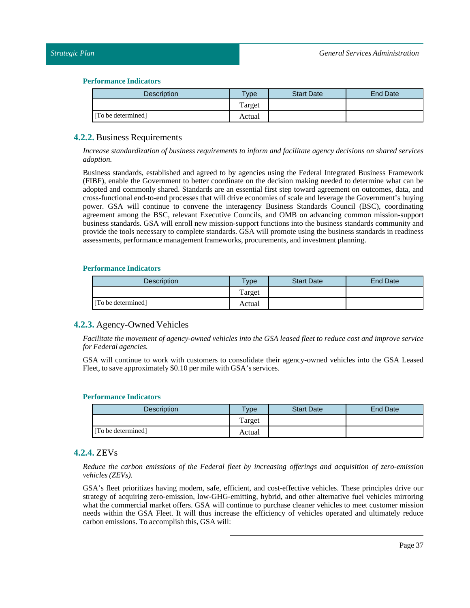| Description        | vpe    | <b>Start Date</b> | <b>End Date</b> |
|--------------------|--------|-------------------|-----------------|
|                    | Target |                   |                 |
| [To be determined] | Actual |                   |                 |

#### <span id="page-36-0"></span>**4.2.2.** Business Requirements

*Increase standardization of business requirements to inform and facilitate agency decisions on shared services adoption.*

Business standards, established and agreed to by agencies using the Federal Integrated Business Framework (FIBF), enable the Government to better coordinate on the decision making needed to determine what can be adopted and commonly shared. Standards are an essential first step toward agreement on outcomes, data, and cross-functional end-to-end processes that will drive economies of scale and leverage the Government's buying power. GSA will continue to convene the interagency Business Standards Council (BSC), coordinating agreement among the BSC, relevant Executive Councils, and OMB on advancing common mission-support business standards. GSA will enroll new mission-support functions into the business standards community and provide the tools necessary to complete standards. GSA will promote using the business standards in readiness assessments, performance management frameworks, procurements, and investment planning.

#### **Performance Indicators**

| <b>Description</b> | <b>Vpe</b> | <b>Start Date</b> | End Date |
|--------------------|------------|-------------------|----------|
|                    | Target     |                   |          |
| [To be determined] | Actual     |                   |          |

### <span id="page-36-1"></span>**4.2.3.** Agency-Owned Vehicles

Facilitate the movement of agency-owned vehicles into the GSA leased fleet to reduce cost and improve service *for Federal agencies.*

GSA will continue to work with customers to consolidate their agency-owned vehicles into the GSA Leased Fleet, to save approximately \$0.10 per mile with GSA's services.

#### **Performance Indicators**

| <b>Description</b> | <b>Vpe</b> | <b>Start Date</b> | End Date |
|--------------------|------------|-------------------|----------|
|                    | Target     |                   |          |
| [To be determined] | Actual     |                   |          |

### <span id="page-36-2"></span>**4.2.4.** ZEVs

*Reduce the carbon emissions of the Federal fleet by increasing offerings and acquisition of zero-emission vehicles (ZEVs).*

GSA's fleet prioritizes having modern, safe, efficient, and cost-effective vehicles. These principles drive our strategy of acquiring zero-emission, low-GHG-emitting, hybrid, and other alternative fuel vehicles mirroring what the commercial market offers. GSA will continue to purchase cleaner vehicles to meet customer mission needs within the GSA Fleet. It will thus increase the efficiency of vehicles operated and ultimately reduce carbon emissions. To accomplish this, GSA will: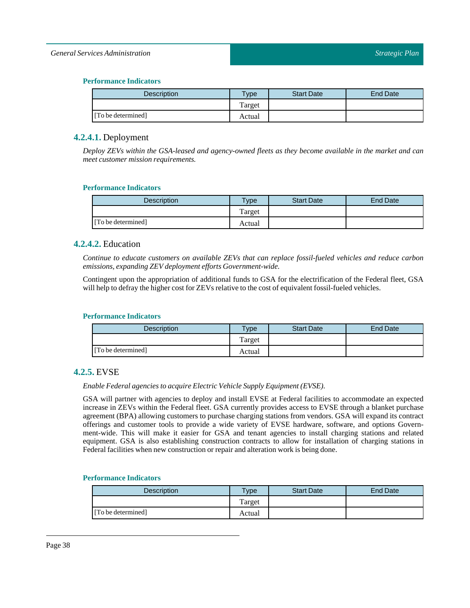#### *General Services Administration*

#### **Performance Indicators**

| <b>Description</b> | Type <sub>o</sub> | <b>Start Date</b> | End Date |
|--------------------|-------------------|-------------------|----------|
|                    | Target            |                   |          |
| [To be determined] | Actual            |                   |          |

### <span id="page-37-0"></span>**4.2.4.1.** Deployment

*Deploy ZEVs within the GSA-leased and agency-owned fleets as they become available in the market and can meet customer mission requirements.*

#### **Performance Indicators**

| <b>Description</b> | Type   | <b>Start Date</b> | End Date |
|--------------------|--------|-------------------|----------|
|                    | Target |                   |          |
| [To be determined] | Actual |                   |          |

### <span id="page-37-1"></span>**4.2.4.2.** Education

*Continue to educate customers on available ZEVs that can replace fossil-fueled vehicles and reduce carbon emissions, expandingZEV deployment efforts Government-wide.*

Contingent upon the appropriation of additional funds to GSA for the electrification of the Federal fleet, GSA will help to defray the higher cost for ZEVs relative to the cost of equivalent fossil-fueled vehicles.

#### **Performance Indicators**

| Description        | $T$ <sub>V</sub> pe | <b>Start Date</b> | End Date |
|--------------------|---------------------|-------------------|----------|
|                    | Target              |                   |          |
| [To be determined] | Actual              |                   |          |

### <span id="page-37-2"></span>**4.2.5.** EVSE

#### *Enable Federal agencies to acquire Electric Vehicle Supply Equipment (EVSE).*

GSA will partner with agencies to deploy and install EVSE at Federal facilities to accommodate an expected increase in ZEVs within the Federal fleet. GSA currently provides access to EVSE through a blanket purchase agreement (BPA) allowing customers to purchase charging stations from vendors. GSA will expand its contract offerings and customer tools to provide a wide variety of EVSE hardware, software, and options Government-wide. This will make it easier for GSA and tenant agencies to install charging stations and related equipment. GSA is also establishing construction contracts to allow for installation of charging stations in Federal facilities when new construction or repair and alteration work is being done.

| Description        | $T$ <sub>V</sub> pe | <b>Start Date</b> | End Date |
|--------------------|---------------------|-------------------|----------|
|                    | Target              |                   |          |
| [To be determined] | Actual              |                   |          |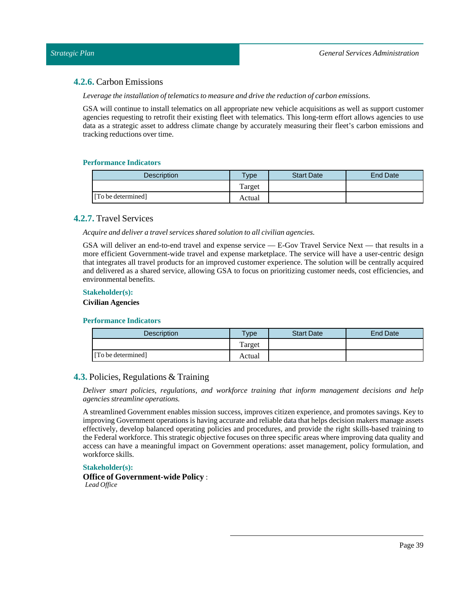### <span id="page-38-0"></span>**4.2.6.** Carbon Emissions

*Leverage the installation oftelematics to measure and drive the reduction of carbon emissions.*

GSA will continue to install telematics on all appropriate new vehicle acquisitions as well as support customer agencies requesting to retrofit their existing fleet with telematics. This long-term effort allows agencies to use data as a strategic asset to address climate change by accurately measuring their fleet's carbon emissions and tracking reductions over time.

#### **Performance Indicators**

| <b>Description</b> | Type   | <b>Start Date</b> | End Date |
|--------------------|--------|-------------------|----------|
|                    | Target |                   |          |
| [To be determined] | Actual |                   |          |

### <span id="page-38-1"></span>**4.2.7.** Travel Services

*Acquire and deliver a travel services shared solution to all civilian agencies.*

GSA will deliver an end-to-end travel and expense service — E-Gov Travel Service Next — that results in a more efficient Government-wide travel and expense marketplace. The service will have a user-centric design that integrates all travel products for an improved customer experience. The solution will be centrally acquired and delivered as a shared service, allowing GSA to focus on prioritizing customer needs, cost efficiencies, and environmental benefits.

#### **Stakeholder(s):**

**Civilian Agencies**

#### **Performance Indicators**

| <b>Description</b> | $v_{\rm p}$ | <b>Start Date</b> | <b>End Date</b> |
|--------------------|-------------|-------------------|-----------------|
|                    | Target      |                   |                 |
| [To be determined] | Actual      |                   |                 |

### <span id="page-38-2"></span>**4.3.** Policies, Regulations & Training

*Deliver smart policies, regulations, and workforce training that inform management decisions and help agencies streamline operations.*

A streamlined Government enables mission success, improves citizen experience, and promotes savings. Key to improving Government operations is having accurate and reliable data that helps decision makers manage assets effectively, develop balanced operating policies and procedures, and provide the right skills-based training to the Federal workforce. This strategic objective focuses on three specific areas where improving data quality and access can have a meaningful impact on Government operations: asset management, policy formulation, and workforce skills.

#### **Stakeholder(s):**

**Office of Government-wide Policy** :

*Lead Office*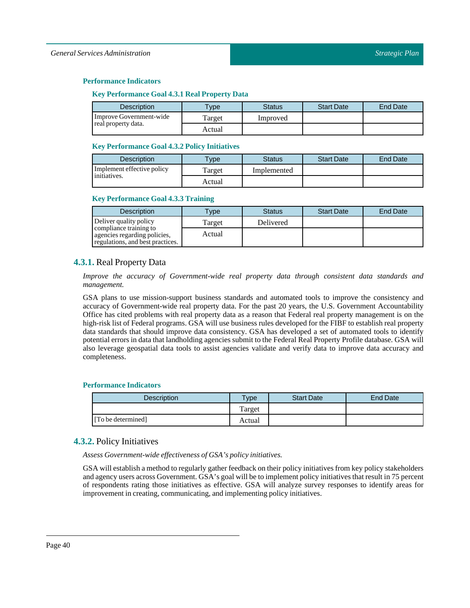#### **Key Performance Goal 4.3.1 Real Property Data**

| Description             | $T$ vpe | Status   | <b>Start Date</b> | <b>End Date</b> |
|-------------------------|---------|----------|-------------------|-----------------|
| Improve Government-wide | Target  | Improved |                   |                 |
| real property data.     | Actual  |          |                   |                 |

#### **Key Performance Goal 4.3.2 Policy Initiatives**

| <b>Description</b>         | $T$ vpe | <b>Status</b> | <b>Start Date</b> | <b>End Date</b> |
|----------------------------|---------|---------------|-------------------|-----------------|
| Implement effective policy | l'arget | Implemented   |                   |                 |
| initiatives.               | Actual  |               |                   |                 |

#### **Key Performance Goal 4.3.3 Training**

| <b>Description</b>                                                                         | <b>Type</b> | <b>Status</b> | <b>Start Date</b> | <b>End Date</b> |
|--------------------------------------------------------------------------------------------|-------------|---------------|-------------------|-----------------|
| Deliver quality policy                                                                     | Target      | Delivered     |                   |                 |
| compliance training to<br>agencies regarding policies,<br>regulations, and best practices. | Actual      |               |                   |                 |

### <span id="page-39-0"></span>**4.3.1.** Real Property Data

*Improve the accuracy of Government-wide real property data through consistent data standards and management.*

GSA plans to use mission-support business standards and automated tools to improve the consistency and accuracy of Government-wide real property data. For the past 20 years, the U.S. Government Accountability Office has cited problems with real property data as a reason that Federal real property management is on the high-risk list of Federal programs. GSA will use business rules developed for the FIBF to establish real property data standards that should improve data consistency. GSA has developed a set of automated tools to identify potential errors in data that landholding agencies submit to the Federal Real Property Profile database. GSA will also leverage geospatial data tools to assist agencies validate and verify data to improve data accuracy and completeness.

#### **Performance Indicators**

| Description        | Type   | <b>Start Date</b> | End Date |
|--------------------|--------|-------------------|----------|
|                    | Target |                   |          |
| [To be determined] | Actual |                   |          |

### <span id="page-39-1"></span>**4.3.2.** Policy Initiatives

*Assess Government-wide effectiveness of GSA's policy initiatives.*

GSA will establish a method to regularly gather feedback on their policy initiatives from key policy stakeholders and agency users across Government. GSA's goal will be to implement policy initiatives that result in 75 percent of respondents rating those initiatives as effective. GSA will analyze survey responses to identify areas for improvementin creating, communicating, and implementing policy initiatives.